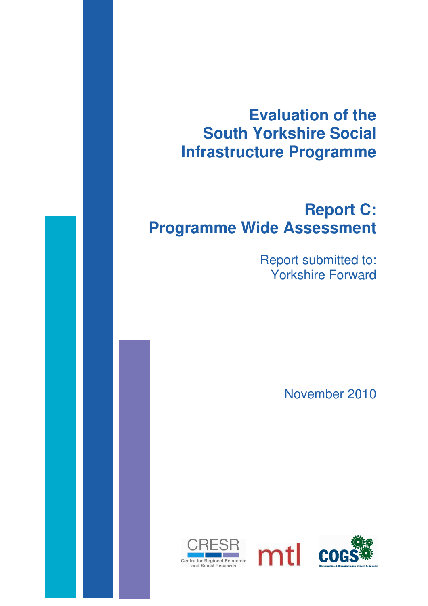# **Evaluation of the South Yorkshire Social Infrastructure Programme**

# **Report C: Programme Wide Assessment**

Report submitted to: Yorkshire Forward

November 2010



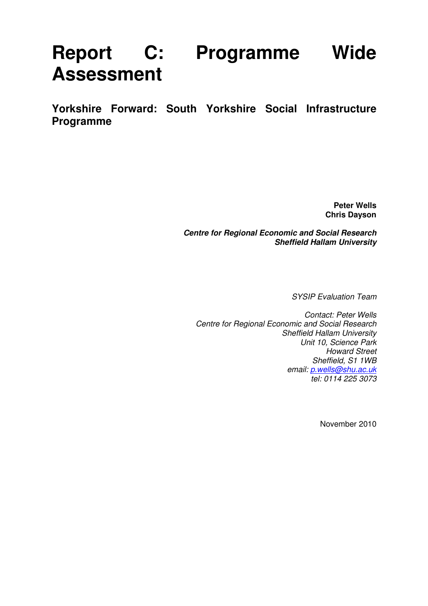# **Report C: Programme Wide Assessment**

**Yorkshire Forward: South Yorkshire Social Infrastructure Programme** 

> **Peter Wells Chris Dayson**

**Centre for Regional Economic and Social Research Sheffield Hallam University** 

SYSIP Evaluation Team

Contact: Peter Wells Centre for Regional Economic and Social Research Sheffield Hallam University Unit 10, Science Park Howard Street Sheffield, S1 1WB email: p.wells@shu.ac.uk tel: 0114 225 3073

November 2010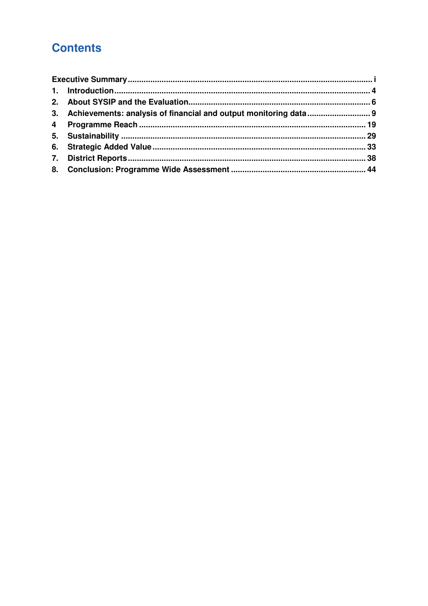# **Contents**

| 3. Achievements: analysis of financial and output monitoring data 9 |  |
|---------------------------------------------------------------------|--|
|                                                                     |  |
|                                                                     |  |
|                                                                     |  |
|                                                                     |  |
|                                                                     |  |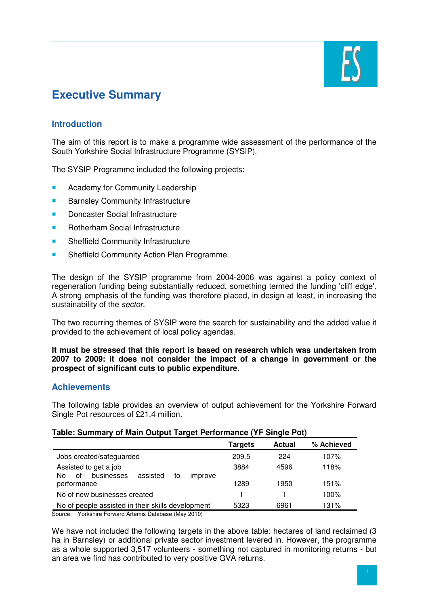

# **Executive Summary**

# **Introduction**

The aim of this report is to make a programme wide assessment of the performance of the South Yorkshire Social Infrastructure Programme (SYSIP).

The SYSIP Programme included the following projects:

- **Academy for Community Leadership**
- **Barnsley Community Infrastructure**
- Doncaster Social Infrastructure
- Rotherham Social Infrastructure
- **Sheffield Community Infrastructure**
- **Sheffield Community Action Plan Programme.**

The design of the SYSIP programme from 2004-2006 was against a policy context of regeneration funding being substantially reduced, something termed the funding 'cliff edge'. A strong emphasis of the funding was therefore placed, in design at least, in increasing the sustainability of the sector.

The two recurring themes of SYSIP were the search for sustainability and the added value it provided to the achievement of local policy agendas.

#### **It must be stressed that this report is based on research which was undertaken from 2007 to 2009: it does not consider the impact of a change in government or the prospect of significant cuts to public expenditure.**

#### **Achievements**

The following table provides an overview of output achievement for the Yorkshire Forward Single Pot resources of £21.4 million.

#### **Table: Summary of Main Output Target Performance (YF Single Pot)**

|                                                                               | Targets | <b>Actual</b> | % Achieved |
|-------------------------------------------------------------------------------|---------|---------------|------------|
| Jobs created/safeguarded                                                      | 209.5   | 224           | 107%       |
| Assisted to get a job<br>businesses<br>assisted<br>οf<br>No.<br>to<br>improve | 3884    | 4596          | 118%       |
| performance                                                                   | 1289    | 1950          | 151%       |
| No of new businesses created                                                  |         |               | 100%       |
| No of people assisted in their skills development                             | 5323    | 6961          | 131%       |

Source: Yorkshire Forward Artemis Database (May 2010)

We have not included the following targets in the above table: hectares of land reclaimed (3 ha in Barnsley) or additional private sector investment levered in. However, the programme as a whole supported 3,517 volunteers - something not captured in monitoring returns - but an area we find has contributed to very positive GVA returns.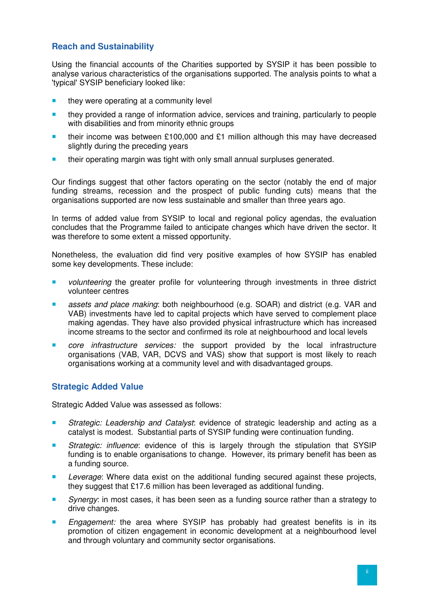# **Reach and Sustainability**

Using the financial accounts of the Charities supported by SYSIP it has been possible to analyse various characteristics of the organisations supported. The analysis points to what a 'typical' SYSIP beneficiary looked like:

- $\blacksquare$  they were operating at a community level
- **they provided a range of information advice, services and training, particularly to people** with disabilities and from minority ethnic groups
- their income was between £100,000 and £1 million although this may have decreased slightly during the preceding years
- their operating margin was tight with only small annual surpluses generated.

Our findings suggest that other factors operating on the sector (notably the end of major funding streams, recession and the prospect of public funding cuts) means that the organisations supported are now less sustainable and smaller than three years ago.

In terms of added value from SYSIP to local and regional policy agendas, the evaluation concludes that the Programme failed to anticipate changes which have driven the sector. It was therefore to some extent a missed opportunity.

Nonetheless, the evaluation did find very positive examples of how SYSIP has enabled some key developments. These include:

- volunteering the greater profile for volunteering through investments in three district volunteer centres
- **assets and place making: both neighbourhood (e.g. SOAR) and district (e.g. VAR and** VAB) investments have led to capital projects which have served to complement place making agendas. They have also provided physical infrastructure which has increased income streams to the sector and confirmed its role at neighbourhood and local levels
- **Core** infrastructure services: the support provided by the local infrastructure organisations (VAB, VAR, DCVS and VAS) show that support is most likely to reach organisations working at a community level and with disadvantaged groups.

# **Strategic Added Value**

Strategic Added Value was assessed as follows:

- **Strategic: Leadership and Catalyst: evidence of strategic leadership and acting as a** catalyst is modest. Substantial parts of SYSIP funding were continuation funding.
- Strategic: influence: evidence of this is largely through the stipulation that SYSIP funding is to enable organisations to change. However, its primary benefit has been as a funding source.
- Leverage: Where data exist on the additional funding secured against these projects, they suggest that £17.6 million has been leveraged as additional funding.
- Synergy: in most cases, it has been seen as a funding source rather than a strategy to drive changes.
- Engagement: the area where SYSIP has probably had greatest benefits is in its promotion of citizen engagement in economic development at a neighbourhood level and through voluntary and community sector organisations.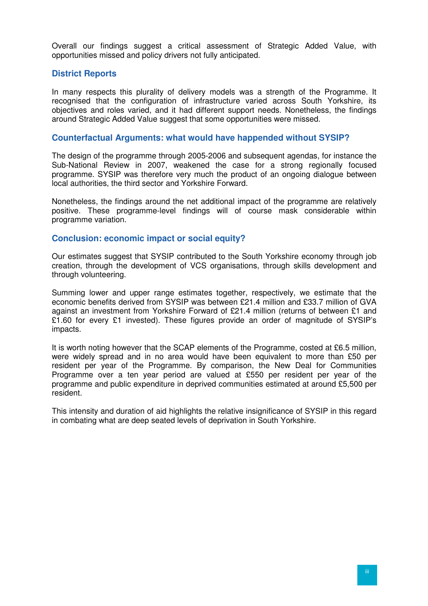Overall our findings suggest a critical assessment of Strategic Added Value, with opportunities missed and policy drivers not fully anticipated.

#### **District Reports**

In many respects this plurality of delivery models was a strength of the Programme. It recognised that the configuration of infrastructure varied across South Yorkshire, its objectives and roles varied, and it had different support needs. Nonetheless, the findings around Strategic Added Value suggest that some opportunities were missed.

#### **Counterfactual Arguments: what would have happended without SYSIP?**

The design of the programme through 2005-2006 and subsequent agendas, for instance the Sub-National Review in 2007, weakened the case for a strong regionally focused programme. SYSIP was therefore very much the product of an ongoing dialogue between local authorities, the third sector and Yorkshire Forward.

Nonetheless, the findings around the net additional impact of the programme are relatively positive. These programme-level findings will of course mask considerable within programme variation.

#### **Conclusion: economic impact or social equity?**

Our estimates suggest that SYSIP contributed to the South Yorkshire economy through job creation, through the development of VCS organisations, through skills development and through volunteering.

Summing lower and upper range estimates together, respectively, we estimate that the economic benefits derived from SYSIP was between £21.4 million and £33.7 million of GVA against an investment from Yorkshire Forward of £21.4 million (returns of between £1 and £1.60 for every £1 invested). These figures provide an order of magnitude of SYSIP's impacts.

It is worth noting however that the SCAP elements of the Programme, costed at £6.5 million, were widely spread and in no area would have been equivalent to more than £50 per resident per year of the Programme. By comparison, the New Deal for Communities Programme over a ten year period are valued at £550 per resident per year of the programme and public expenditure in deprived communities estimated at around £5,500 per resident.

This intensity and duration of aid highlights the relative insignificance of SYSIP in this regard in combating what are deep seated levels of deprivation in South Yorkshire.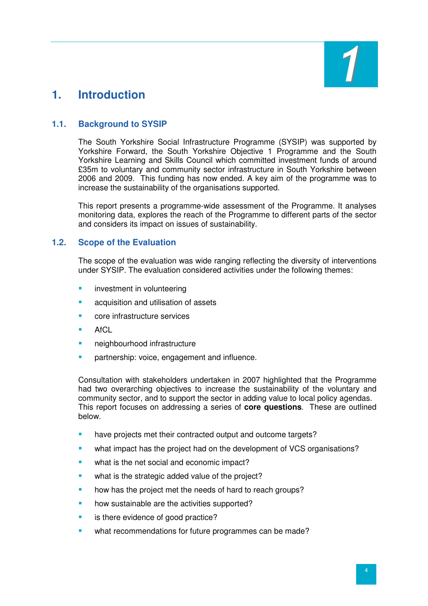

# **1. Introduction**

# **1.1. Background to SYSIP**

The South Yorkshire Social Infrastructure Programme (SYSIP) was supported by Yorkshire Forward, the South Yorkshire Objective 1 Programme and the South Yorkshire Learning and Skills Council which committed investment funds of around £35m to voluntary and community sector infrastructure in South Yorkshire between 2006 and 2009. This funding has now ended. A key aim of the programme was to increase the sustainability of the organisations supported.

This report presents a programme-wide assessment of the Programme. It analyses monitoring data, explores the reach of the Programme to different parts of the sector and considers its impact on issues of sustainability.

# **1.2. Scope of the Evaluation**

The scope of the evaluation was wide ranging reflecting the diversity of interventions under SYSIP. The evaluation considered activities under the following themes:

- investment in volunteering
- acquisition and utilisation of assets
- core infrastructure services
- $A<sub>f</sub>Cl$
- neighbourhood infrastructure
- partnership: voice, engagement and influence.

Consultation with stakeholders undertaken in 2007 highlighted that the Programme had two overarching objectives to increase the sustainability of the voluntary and community sector, and to support the sector in adding value to local policy agendas. This report focuses on addressing a series of **core questions**. These are outlined below.

- have projects met their contracted output and outcome targets?
- what impact has the project had on the development of VCS organisations?
- what is the net social and economic impact?
- what is the strategic added value of the project?
- how has the project met the needs of hard to reach groups?
- how sustainable are the activities supported?
- is there evidence of good practice?
- what recommendations for future programmes can be made?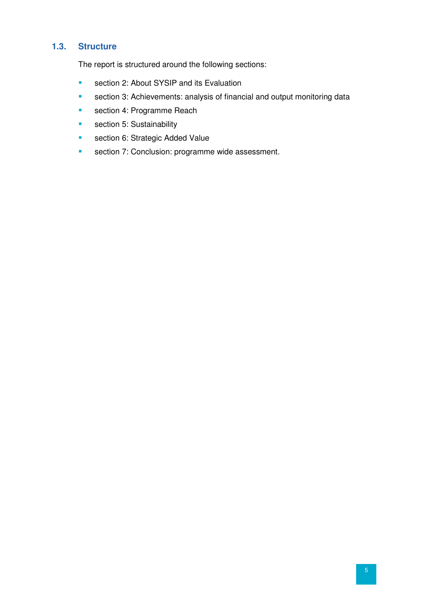# **1.3. Structure**

The report is structured around the following sections:

- **section 2: About SYSIP and its Evaluation**
- **section 3: Achievements: analysis of financial and output monitoring data**
- section 4: Programme Reach
- section 5: Sustainability
- **section 6: Strategic Added Value**
- **section 7: Conclusion: programme wide assessment.**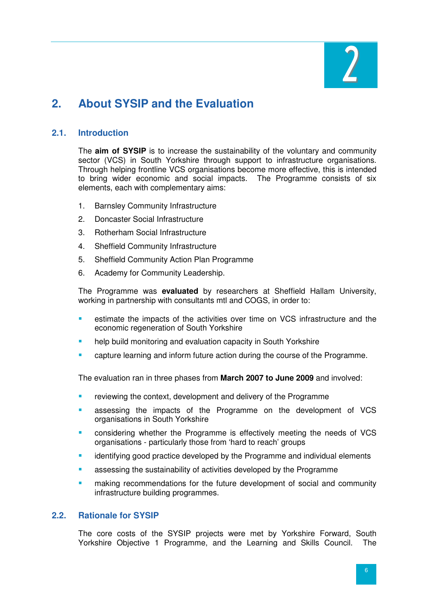

# **2. About SYSIP and the Evaluation**

# **2.1. Introduction**

The **aim of SYSIP** is to increase the sustainability of the voluntary and community sector (VCS) in South Yorkshire through support to infrastructure organisations. Through helping frontline VCS organisations become more effective, this is intended to bring wider economic and social impacts. The Programme consists of six elements, each with complementary aims:

- 1. Barnsley Community Infrastructure
- 2. Doncaster Social Infrastructure
- 3. Rotherham Social Infrastructure
- 4. Sheffield Community Infrastructure
- 5. Sheffield Community Action Plan Programme
- 6. Academy for Community Leadership.

The Programme was **evaluated** by researchers at Sheffield Hallam University, working in partnership with consultants mtl and COGS, in order to:

- estimate the impacts of the activities over time on VCS infrastructure and the economic regeneration of South Yorkshire
- help build monitoring and evaluation capacity in South Yorkshire
- capture learning and inform future action during the course of the Programme.

The evaluation ran in three phases from **March 2007 to June 2009** and involved:

- reviewing the context, development and delivery of the Programme
- assessing the impacts of the Programme on the development of VCS organisations in South Yorkshire
- considering whether the Programme is effectively meeting the needs of VCS organisations - particularly those from 'hard to reach' groups
- **EXEDENT** identifying good practice developed by the Programme and individual elements
- assessing the sustainability of activities developed by the Programme
- making recommendations for the future development of social and community infrastructure building programmes.

### **2.2. Rationale for SYSIP**

The core costs of the SYSIP projects were met by Yorkshire Forward, South Yorkshire Objective 1 Programme, and the Learning and Skills Council. The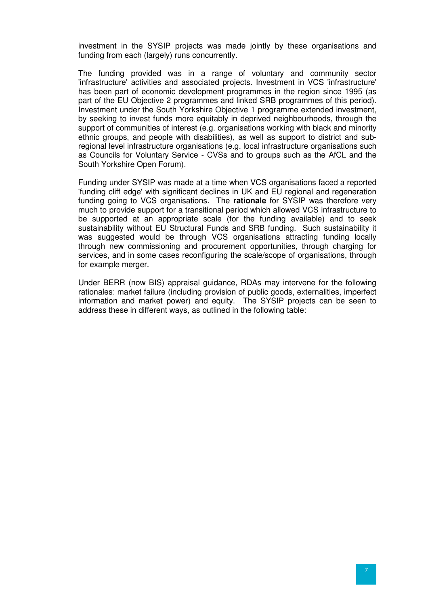investment in the SYSIP projects was made jointly by these organisations and funding from each (largely) runs concurrently.

The funding provided was in a range of voluntary and community sector 'infrastructure' activities and associated projects. Investment in VCS 'infrastructure' has been part of economic development programmes in the region since 1995 (as part of the EU Objective 2 programmes and linked SRB programmes of this period). Investment under the South Yorkshire Objective 1 programme extended investment, by seeking to invest funds more equitably in deprived neighbourhoods, through the support of communities of interest (e.g. organisations working with black and minority ethnic groups, and people with disabilities), as well as support to district and subregional level infrastructure organisations (e.g. local infrastructure organisations such as Councils for Voluntary Service - CVSs and to groups such as the AfCL and the South Yorkshire Open Forum).

Funding under SYSIP was made at a time when VCS organisations faced a reported 'funding cliff edge' with significant declines in UK and EU regional and regeneration funding going to VCS organisations. The **rationale** for SYSIP was therefore very much to provide support for a transitional period which allowed VCS infrastructure to be supported at an appropriate scale (for the funding available) and to seek sustainability without EU Structural Funds and SRB funding. Such sustainability it was suggested would be through VCS organisations attracting funding locally through new commissioning and procurement opportunities, through charging for services, and in some cases reconfiguring the scale/scope of organisations, through for example merger.

Under BERR (now BIS) appraisal guidance, RDAs may intervene for the following rationales: market failure (including provision of public goods, externalities, imperfect information and market power) and equity. The SYSIP projects can be seen to address these in different ways, as outlined in the following table: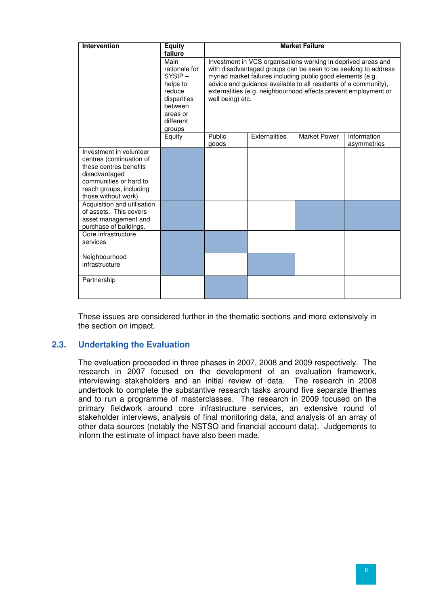| <b>Intervention</b>                                                                                                                                                        | <b>Equity</b><br>failure                                                                                              |                                                                                                                                                                                                                                                                                                                                                          |                      | <b>Market Failure</b> |                            |  |
|----------------------------------------------------------------------------------------------------------------------------------------------------------------------------|-----------------------------------------------------------------------------------------------------------------------|----------------------------------------------------------------------------------------------------------------------------------------------------------------------------------------------------------------------------------------------------------------------------------------------------------------------------------------------------------|----------------------|-----------------------|----------------------------|--|
|                                                                                                                                                                            | Main<br>rationale for<br>$SYSIP -$<br>helps to<br>reduce<br>disparities<br>between<br>areas or<br>different<br>groups | Investment in VCS organisations working in deprived areas and<br>with disadvantaged groups can be seen to be seeking to address<br>myriad market failures including public good elements (e.g.<br>advice and guidance available to all residents of a community),<br>externalities (e.g. neighbourhood effects prevent employment or<br>well being) etc. |                      |                       |                            |  |
|                                                                                                                                                                            | Equity                                                                                                                | Public<br>goods                                                                                                                                                                                                                                                                                                                                          | <b>Externalities</b> | <b>Market Power</b>   | Information<br>asymmetries |  |
| Investment in volunteer<br>centres (continuation of<br>these centres benefits<br>disadvantaged<br>communities or hard to<br>reach groups, including<br>those without work) |                                                                                                                       |                                                                                                                                                                                                                                                                                                                                                          |                      |                       |                            |  |
| Acquisition and utilisation<br>of assets. This covers<br>asset management and<br>purchase of buildings.                                                                    |                                                                                                                       |                                                                                                                                                                                                                                                                                                                                                          |                      |                       |                            |  |
| Core infrastructure<br>services                                                                                                                                            |                                                                                                                       |                                                                                                                                                                                                                                                                                                                                                          |                      |                       |                            |  |
| Neighbourhood<br>infrastructure                                                                                                                                            |                                                                                                                       |                                                                                                                                                                                                                                                                                                                                                          |                      |                       |                            |  |
| Partnership                                                                                                                                                                |                                                                                                                       |                                                                                                                                                                                                                                                                                                                                                          |                      |                       |                            |  |

These issues are considered further in the thematic sections and more extensively in the section on impact.

# **2.3. Undertaking the Evaluation**

The evaluation proceeded in three phases in 2007, 2008 and 2009 respectively. The research in 2007 focused on the development of an evaluation framework, interviewing stakeholders and an initial review of data. The research in 2008 undertook to complete the substantive research tasks around five separate themes and to run a programme of masterclasses. The research in 2009 focused on the primary fieldwork around core infrastructure services, an extensive round of stakeholder interviews, analysis of final monitoring data, and analysis of an array of other data sources (notably the NSTSO and financial account data). Judgements to inform the estimate of impact have also been made.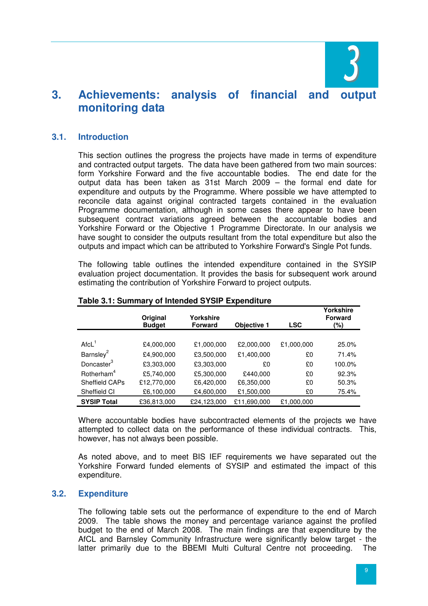

# **3. Achievements: analysis of financial and output monitoring data**

### **3.1. Introduction**

This section outlines the progress the projects have made in terms of expenditure and contracted output targets. The data have been gathered from two main sources: form Yorkshire Forward and the five accountable bodies. The end date for the output data has been taken as 31st March 2009 – the formal end date for expenditure and outputs by the Programme. Where possible we have attempted to reconcile data against original contracted targets contained in the evaluation Programme documentation, although in some cases there appear to have been subsequent contract variations agreed between the accountable bodies and Yorkshire Forward or the Objective 1 Programme Directorate. In our analysis we have sought to consider the outputs resultant from the total expenditure but also the outputs and impact which can be attributed to Yorkshire Forward's Single Pot funds.

The following table outlines the intended expenditure contained in the SYSIP evaluation project documentation. It provides the basis for subsequent work around estimating the contribution of Yorkshire Forward to project outputs.

|                        | Original<br><b>Budget</b> | Yorkshire<br><b>Forward</b> | <b>Objective 1</b> | <b>LSC</b> | Yorkshire<br><b>Forward</b><br>(%) |
|------------------------|---------------------------|-----------------------------|--------------------|------------|------------------------------------|
|                        |                           |                             |                    |            |                                    |
| $AtcL$ <sup>1</sup>    | £4,000,000                | £1,000,000                  | £2,000,000         | £1,000,000 | 25.0%                              |
| Barnsley <sup>2</sup>  | £4,900,000                | £3,500,000                  | £1,400,000         | £0         | 71.4%                              |
| Doncaster <sup>3</sup> | £3,303,000                | £3,303,000                  | £0                 | £0         | 100.0%                             |
| Rotherham <sup>4</sup> | £5,740,000                | £5,300,000                  | £440,000           | £0         | 92.3%                              |
| <b>Sheffield CAPs</b>  | £12,770,000               | £6,420,000                  | £6,350,000         | £0         | 50.3%                              |
| Sheffield CI           | £6,100,000                | £4,600,000                  | £1,500,000         | £0         | 75.4%                              |
| <b>SYSIP Total</b>     | £36,813,000               | £24,123,000                 | £11,690,000        | £1,000,000 |                                    |

#### **Table 3.1: Summary of Intended SYSIP Expenditure**

Where accountable bodies have subcontracted elements of the projects we have attempted to collect data on the performance of these individual contracts. This, however, has not always been possible.

As noted above, and to meet BIS IEF requirements we have separated out the Yorkshire Forward funded elements of SYSIP and estimated the impact of this expenditure.

#### **3.2. Expenditure**

The following table sets out the performance of expenditure to the end of March 2009. The table shows the money and percentage variance against the profiled budget to the end of March 2008. The main findings are that expenditure by the AfCL and Barnsley Community Infrastructure were significantly below target - the latter primarily due to the BBEMI Multi Cultural Centre not proceeding. The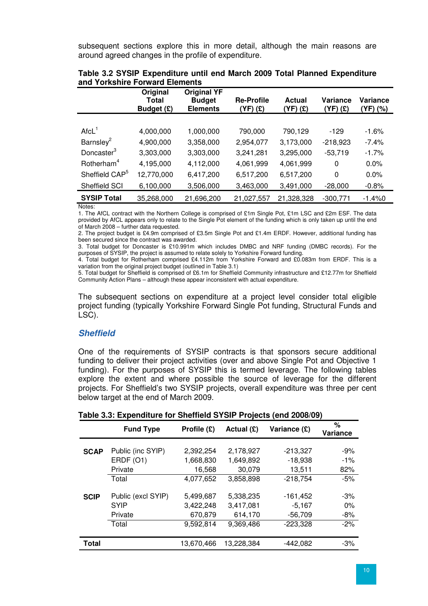subsequent sections explore this in more detail, although the main reasons are around agreed changes in the profile of expenditure.

|                            | Original<br>Total<br>Budget (£) | <b>Original YF</b><br><b>Budget</b><br><b>Elements</b> | <b>Re-Profile</b><br>(YF) (£) | <b>Actual</b><br>(YF) (£) | Variance<br>(YF) (£) | Variance<br>(YF) (%) |
|----------------------------|---------------------------------|--------------------------------------------------------|-------------------------------|---------------------------|----------------------|----------------------|
|                            |                                 |                                                        |                               |                           |                      |                      |
| Arcl <sup>1</sup>          | 4,000,000                       | 1,000,000                                              | 790,000                       | 790,129                   | $-129$               | $-1.6%$              |
| Barnsley <sup>2</sup>      | 4,900,000                       | 3,358,000                                              | 2,954,077                     | 3,173,000                 | $-218,923$           | $-7.4%$              |
| Doncaster <sup>3</sup>     | 3,303,000                       | 3,303,000                                              | 3,241,281                     | 3,295,000                 | $-53,719$            | $-1.7%$              |
| Rotherham <sup>4</sup>     | 4,195,000                       | 4,112,000                                              | 4,061,999                     | 4,061,999                 | 0                    | 0.0%                 |
| Sheffield CAP <sup>5</sup> | 12,770,000                      | 6,417,200                                              | 6,517,200                     | 6,517,200                 | 0                    | 0.0%                 |
| Sheffield SCI              | 6,100,000                       | 3,506,000                                              | 3,463,000                     | 3,491,000                 | $-28,000$            | $-0.8%$              |
| <b>SYSIP Total</b>         | 35,268,000                      | 21,696,200                                             | 21,027,557                    | 21,328,328                | $-300,771$           | $-1.4%0$             |

| Table 3.2 SYSIP Expenditure until end March 2009 Total Planned Expenditure |  |  |  |
|----------------------------------------------------------------------------|--|--|--|
| and Yorkshire Forward Elements                                             |  |  |  |

Notes:

1. The AfCL contract with the Northern College is comprised of £1m Single Pot, £1m LSC and £2m ESF. The data provided by AfCL appears only to relate to the Single Pot element of the funding which is only taken up until the end of March 2008 – further data requested.

2. The project budget is £4.9m comprised of £3.5m Single Pot and £1.4m ERDF. However, additional funding has been secured since the contract was awarded.

3. Total budget for Doncaster is £10.991m which includes DMBC and NRF funding (DMBC records). For the purposes of SYSIP, the project is assumed to relate solely to Yorkshire Forward funding.

4. Total budget for Rotherham comprised £4.112m from Yorkshire Forward and £0.083m from ERDF. This is a variation from the original project budget (outlined in Table 3.1)

5. Total budget for Sheffield is comprised of £6.1m for Sheffield Community infrastructure and £12.77m for Sheffield Community Action Plans – although these appear inconsistent with actual expenditure.

The subsequent sections on expenditure at a project level consider total eligible project funding (typically Yorkshire Forward Single Pot funding, Structural Funds and LSC).

# **Sheffield**

One of the requirements of SYSIP contracts is that sponsors secure additional funding to deliver their project activities (over and above Single Pot and Objective 1 funding). For the purposes of SYSIP this is termed leverage. The following tables explore the extent and where possible the source of leverage for the different projects. For Sheffield's two SYSIP projects, overall expenditure was three per cent below target at the end of March 2009.

#### **Table 3.3: Expenditure for Sheffield SYSIP Projects (end 2008/09)**

|             | <b>Fund Type</b>   | Profile (£) | Actual (E) | Variance (£) | $\%$<br>Variance |
|-------------|--------------------|-------------|------------|--------------|------------------|
| <b>SCAP</b> | Public (inc SYIP)  | 2,392,254   | 2,178,927  | $-213,327$   | $-9%$            |
|             | ERDF (O1)          | 1,668,830   | 1,649,892  | $-18,938$    | $-1\%$           |
|             | Private            | 16,568      | 30,079     | 13,511       | 82%              |
|             | Total              | 4,077,652   | 3,858,898  | $-218,754$   | $-5%$            |
| <b>SCIP</b> | Public (excl SYIP) | 5.499.687   | 5,338,235  | $-161,452$   | $-3%$            |
|             | <b>SYIP</b>        | 3,422,248   | 3,417,081  | $-5,167$     | $0\%$            |
|             | Private            | 670.879     | 614,170    | $-56.709$    | -8%              |
|             | Total              | 9,592,814   | 9,369,486  | $-223,328$   | $-2%$            |
| Total       |                    | 13,670,466  | 13,228,384 | $-442,082$   | $-3%$            |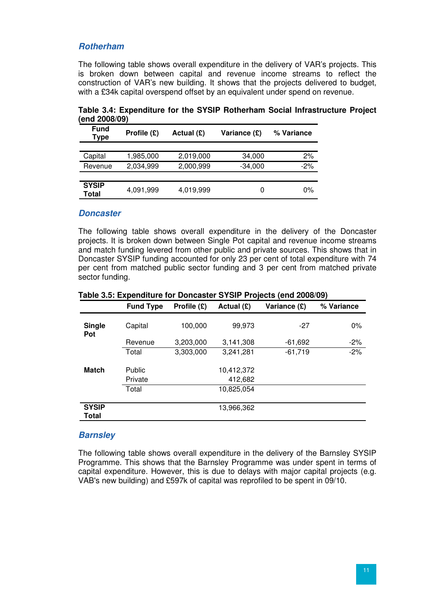### **Rotherham**

The following table shows overall expenditure in the delivery of VAR's projects. This is broken down between capital and revenue income streams to reflect the construction of VAR's new building. It shows that the projects delivered to budget, with a £34k capital overspend offset by an equivalent under spend on revenue.

| $UIII$ auuurvu        |             |            |              |            |
|-----------------------|-------------|------------|--------------|------------|
| <b>Fund</b><br>Type   | Profile (£) | Actual (£) | Variance (£) | % Variance |
|                       |             |            |              |            |
| Capital               | 1,985,000   | 2,019,000  | 34,000       | 2%         |
| Revenue               | 2,034,999   | 2,000,999  | $-34,000$    | $-2\%$     |
|                       |             |            |              |            |
| <b>SYSIP</b><br>Total | 4,091,999   | 4,019,999  | O            | $0\%$      |

**Table 3.4: Expenditure for the SYSIP Rotherham Social Infrastructure Project (end 2008/09)**

#### **Doncaster**

The following table shows overall expenditure in the delivery of the Doncaster projects. It is broken down between Single Pot capital and revenue income streams and match funding levered from other public and private sources. This shows that in Doncaster SYSIP funding accounted for only 23 per cent of total expenditure with 74 per cent from matched public sector funding and 3 per cent from matched private sector funding.

|                       | <b>Fund Type</b> | Profile (£) | Actual $(E)$ | Variance (£) | % Variance |
|-----------------------|------------------|-------------|--------------|--------------|------------|
| <b>Single</b><br>Pot  | Capital          | 100,000     | 99,973       | $-27$        | $0\%$      |
|                       | Revenue          | 3,203,000   | 3,141,308    | $-61,692$    | $-2%$      |
|                       | Total            | 3,303,000   | 3,241,281    | $-61,719$    | $-2%$      |
|                       |                  |             |              |              |            |
| <b>Match</b>          | Public           |             | 10,412,372   |              |            |
|                       | Private          |             | 412,682      |              |            |
|                       | Total            |             | 10,825,054   |              |            |
|                       |                  |             |              |              |            |
| <b>SYSIP</b><br>Total |                  |             | 13,966,362   |              |            |

**Table 3.5: Expenditure for Doncaster SYSIP Projects (end 2008/09)**

#### **Barnsley**

The following table shows overall expenditure in the delivery of the Barnsley SYSIP Programme. This shows that the Barnsley Programme was under spent in terms of capital expenditure. However, this is due to delays with major capital projects (e.g. VAB's new building) and £597k of capital was reprofiled to be spent in 09/10.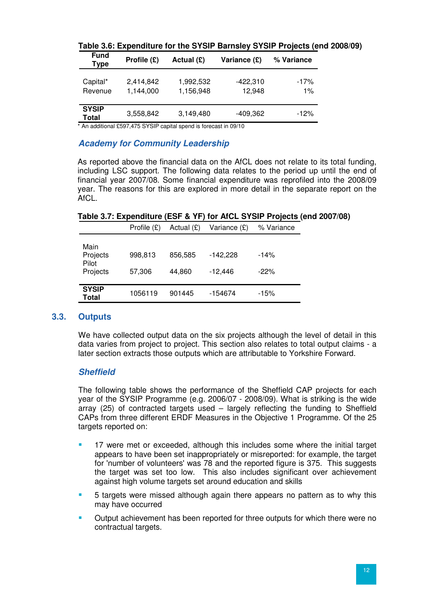| <b>Fund</b><br>Type   | Profile $(E)$          | Actual (£)             | Variance (£)         | % Variance   |
|-----------------------|------------------------|------------------------|----------------------|--------------|
| Capital*<br>Revenue   | 2,414,842<br>1.144.000 | 1,992,532<br>1,156,948 | $-422,310$<br>12.948 | $-17%$<br>1% |
| <b>SYSIP</b><br>Total | 3,558,842              | 3,149,480              | -409,362             | $-12%$       |

**Table 3.6: Expenditure for the SYSIP Barnsley SYSIP Projects (end 2008/09)**

\* An additional £597,475 SYSIP capital spend is forecast in 09/10

# **Academy for Community Leadership**

As reported above the financial data on the AfCL does not relate to its total funding, including LSC support. The following data relates to the period up until the end of financial year 2007/08. Some financial expenditure was reprofiled into the 2008/09 year. The reasons for this are explored in more detail in the separate report on the AfCL.

**Table 3.7: Expenditure (ESF & YF) for AfCL SYSIP Projects (end 2007/08)** 

|                                       | Profile $(E)$     | Actual $(E)$      | Variance (£)            | % Variance       |
|---------------------------------------|-------------------|-------------------|-------------------------|------------------|
| Main<br>Projects<br>Pilot<br>Projects | 998,813<br>57,306 | 856,585<br>44,860 | $-142,228$<br>$-12,446$ | $-14%$<br>$-22%$ |
| <b>SYSIP</b><br>Total                 | 1056119           | 901445            | -154674                 | $-15%$           |

# **3.3. Outputs**

We have collected output data on the six projects although the level of detail in this data varies from project to project. This section also relates to total output claims - a later section extracts those outputs which are attributable to Yorkshire Forward.

# **Sheffield**

The following table shows the performance of the Sheffield CAP projects for each year of the SYSIP Programme (e.g. 2006/07 - 2008/09). What is striking is the wide array (25) of contracted targets used – largely reflecting the funding to Sheffield CAPs from three different ERDF Measures in the Objective 1 Programme. Of the 25 targets reported on:

- 17 were met or exceeded, although this includes some where the initial target appears to have been set inappropriately or misreported: for example, the target for 'number of volunteers' was 78 and the reported figure is 375. This suggests the target was set too low. This also includes significant over achievement against high volume targets set around education and skills
- 5 targets were missed although again there appears no pattern as to why this may have occurred
- Output achievement has been reported for three outputs for which there were no contractual targets.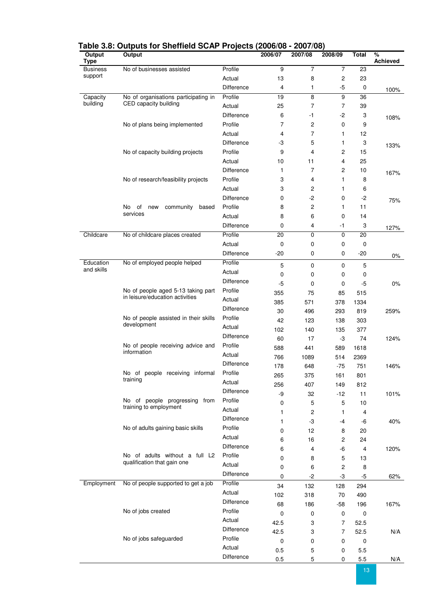| Output<br>Type  | Output                                                                |                   | 2006/07   | 2007/08        | 2008/09          | <b>Total</b>     | $\%$<br><b>Achieved</b> |
|-----------------|-----------------------------------------------------------------------|-------------------|-----------|----------------|------------------|------------------|-------------------------|
| <b>Business</b> | No of businesses assisted                                             | Profile           | 9         | $\overline{7}$ | $\overline{7}$   | 23               |                         |
| support         |                                                                       | Actual            | 13        | 8              | $\boldsymbol{2}$ | 23               |                         |
|                 |                                                                       | Difference        | 4         | 1              | $-5$             | $\boldsymbol{0}$ | 100%                    |
| Capacity        | No of organisations participating in                                  | Profile           | 19        | 8              | 9                | 36               |                         |
| building        | CED capacity building                                                 | Actual            | 25        | $\overline{7}$ | 7                | 39               |                         |
|                 |                                                                       | Difference        | 6         | -1             | $-2$             | 3                | 108%                    |
|                 | No of plans being implemented                                         | Profile           | 7         | 2              | 0                | 9                |                         |
|                 |                                                                       | Actual            | 4         | 7              | 1                | 12               |                         |
|                 |                                                                       | <b>Difference</b> | -3        | 5              | 1                | 3                |                         |
|                 | No of capacity building projects                                      | Profile           | 9         | 4              | 2                | 15               | 133%                    |
|                 |                                                                       | Actual            | 10        | 11             | 4                | 25               |                         |
|                 |                                                                       | Difference        | 1         | 7              | 2                | 10               |                         |
|                 | No of research/feasibility projects                                   | Profile           | 3         | 4              | 1                | 8                | 167%                    |
|                 |                                                                       | Actual            | 3         | 2              | 1                | 6                |                         |
|                 |                                                                       | Difference        | 0         | -2             | 0                | -2               |                         |
|                 | No<br>of<br>community<br>based<br>new                                 | Profile           | 8         | 2              | 1                | 11               | 75%                     |
|                 | services                                                              | Actual            | 8         | 6              | 0                | 14               |                         |
|                 |                                                                       | Difference        | 0         | 4              | -1               | 3                |                         |
| Childcare       | No of childcare places created                                        | Profile           | 20        | 0              | 0                | 20               | 127%                    |
|                 |                                                                       | Actual            | 0         | 0              | 0                | $\mathbf 0$      |                         |
|                 |                                                                       | Difference        | $-20$     | 0              | 0                | $-20$            |                         |
| Education       | No of employed people helped                                          | Profile           |           |                |                  |                  | $0\%$                   |
| and skills      |                                                                       | Actual            | 5         | 0              | 0                | 5                |                         |
|                 |                                                                       | <b>Difference</b> | 0         | 0              | 0                | 0                |                         |
|                 | No of people aged 5-13 taking part<br>in leisure/education activities | Profile           | $-5$      | 0              | 0                | $-5$             | 0%                      |
|                 |                                                                       | Actual            | 355       | 75             | 85               | 515              |                         |
|                 |                                                                       | Difference        | 385       | 571            | 378              | 1334             |                         |
|                 | No of people assisted in their skills                                 | Profile           | 30        | 496            | 293              | 819              | 259%                    |
|                 | development                                                           | Actual            | 42        | 123            | 138              | 303              |                         |
|                 |                                                                       | Difference        | 102       | 140            | 135              | 377              |                         |
|                 |                                                                       | Profile           | 60        | 17             | -3               | 74               | 124%                    |
|                 | No of people receiving advice and<br>information                      | Actual            | 588       | 441            | 589              | 1618             |                         |
|                 |                                                                       | Difference        | 766       | 1089           | 514              | 2369             |                         |
|                 |                                                                       |                   | 178       | 648            | $-75$            | 751              | 146%                    |
|                 | No of people receiving informal<br>training                           | Profile<br>Actual | 265       | 375            | 161              | 801              |                         |
|                 |                                                                       |                   | 256       | 407            | 149              | 812              |                         |
|                 |                                                                       | Difference        | -9        | 32             | $-12$            | 11               | 101%                    |
|                 | No of people progressing from<br>training to employment               | Profile           | 0         | 5              | 5                | 10               |                         |
|                 |                                                                       | Actual            | 1         | 2              | 1                | 4                |                         |
|                 |                                                                       | Difference        | 1         | $-3$           | -4               | -6               | 40%                     |
|                 | No of adults gaining basic skills                                     | Profile           | 0         | 12             | 8                | 20               |                         |
|                 |                                                                       | Actual            | 6         | 16             | 2                | 24               |                         |
|                 |                                                                       | Difference        | 6         | 4              | -6               | $\overline{4}$   | 120%                    |
|                 | No of adults without a full L2<br>qualification that gain one         | Profile           | 0         | 8              | 5                | 13               |                         |
|                 |                                                                       | Actual            | 0         | 6              | $\boldsymbol{2}$ | 8                |                         |
|                 |                                                                       | Difference        | 0         | $-2$           | -3               | $-5$             | 62%                     |
| Employment      | No of people supported to get a job                                   | Profile           | 34        | 132            | 128              | 294              |                         |
|                 |                                                                       | Actual            | 102       | 318            | 70               | 490              |                         |
|                 |                                                                       | Difference        | 68        | 186            | $-58$            | 196              | 167%                    |
|                 | No of jobs created                                                    | Profile           | 0         | 0              | $\pmb{0}$        | $\mathbf 0$      |                         |
|                 |                                                                       | Actual            | 42.5      | 3              | $\overline{7}$   | 52.5             |                         |
|                 |                                                                       | Difference        | 42.5      | 3              | 7                | 52.5             | N/A                     |
|                 | No of jobs safeguarded                                                | Profile           | $\pmb{0}$ | 0              | 0                | $\pmb{0}$        |                         |
|                 |                                                                       | Actual            | 0.5       | 5              | 0                | 5.5              |                         |
|                 |                                                                       | Difference        | 0.5       | 5              | 0                | $5.5\,$          | N/A                     |

### **Table 3.8: Outputs for Sheffield SCAP Projects (2006/08 - 2007/08)**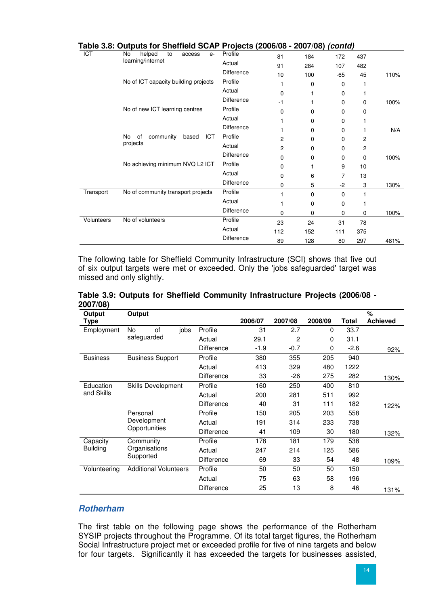|            | Table 3.8: Outputs for Sheffield SCAP Projects (2006/08 - 2007/08) <i>(contd)</i> |                   |          |          |          |                |      |
|------------|-----------------------------------------------------------------------------------|-------------------|----------|----------|----------|----------------|------|
| <b>ICT</b> | helped<br>No<br>to<br>access<br>$e-$                                              | Profile           | 81       | 184      | 172      | 437            |      |
|            | learning/internet                                                                 | Actual            | 91       | 284      | 107      | 482            |      |
|            |                                                                                   | <b>Difference</b> | 10       | 100      | $-65$    | 45             | 110% |
|            | No of ICT capacity building projects                                              | Profile           |          | 0        | 0        |                |      |
|            |                                                                                   | Actual            | $\Omega$ |          | 0        |                |      |
|            |                                                                                   | <b>Difference</b> | $-1$     |          | 0        | 0              | 100% |
|            | No of new ICT learning centres                                                    | Profile           | 0        | 0        | 0        | 0              |      |
|            |                                                                                   | Actual            |          | 0        | $\Omega$ |                |      |
|            |                                                                                   | <b>Difference</b> |          | 0        | 0        |                | N/A  |
|            | <b>No</b><br><b>ICT</b><br>community<br>0f<br>based                               | Profile           | 2        | 0        | 0        | 2              |      |
|            | projects                                                                          | Actual            | 2        | $\Omega$ | 0        | $\overline{c}$ |      |
|            |                                                                                   | <b>Difference</b> | 0        | 0        | 0        | 0              | 100% |
|            | No achieving minimum NVQ L2 ICT                                                   | Profile           | 0        |          | 9        | 10             |      |
|            |                                                                                   | Actual            | 0        | 6        | 7        | 13             |      |
|            |                                                                                   | <b>Difference</b> | 0        | 5        | $-2$     | 3              | 130% |
| Transport  | No of community transport projects                                                | Profile           |          | $\Omega$ | $\Omega$ |                |      |
|            |                                                                                   | Actual            |          | 0        | 0        |                |      |
|            |                                                                                   | Difference        | $\Omega$ | 0        | 0        | 0              | 100% |
| Volunteers | No of volunteers                                                                  | Profile           | 23       | 24       | 31       | 78             |      |
|            |                                                                                   | Actual            | 112      | 152      | 111      | 375            |      |
|            |                                                                                   | <b>Difference</b> | 89       | 128      | 80       | 297            | 481% |

The following table for Sheffield Community Infrastructure (SCI) shows that five out of six output targets were met or exceeded. Only the 'jobs safeguarded' target was missed and only slightly.

| Output          | Output                       |                   |                   |         |         |         |        | %               |
|-----------------|------------------------------|-------------------|-------------------|---------|---------|---------|--------|-----------------|
| Type            |                              |                   |                   | 2006/07 | 2007/08 | 2008/09 | Total  | <b>Achieved</b> |
| Employment      | of<br>No                     | jobs              | Profile           | 31      | 2.7     | 0       | 33.7   |                 |
|                 | safeguarded                  |                   | Actual            | 29.1    | 2       | 0       | 31.1   |                 |
|                 |                              |                   | <b>Difference</b> | $-1.9$  | $-0.7$  | 0       | $-2.6$ | 92%             |
| <b>Business</b> | <b>Business Support</b>      |                   | Profile           | 380     | 355     | 205     | 940    |                 |
|                 |                              |                   | Actual            | 413     | 329     | 480     | 1222   |                 |
|                 |                              |                   | Difference        | 33      | $-26$   | 275     | 282    | 130%            |
| Education       | Skills Development           |                   | Profile           | 160     | 250     | 400     | 810    |                 |
| and Skills      |                              |                   | Actual            | 200     | 281     | 511     | 992    |                 |
|                 |                              |                   | <b>Difference</b> | 40      | 31      | 111     | 182    | 122%            |
|                 | Personal                     |                   | Profile           | 150     | 205     | 203     | 558    |                 |
|                 | Development                  |                   | Actual            | 191     | 314     | 233     | 738    |                 |
|                 | Opportunities                |                   | <b>Difference</b> | 41      | 109     | 30      | 180    | 132%            |
| Capacity        | Community                    |                   | Profile           | 178     | 181     | 179     | 538    |                 |
| <b>Building</b> | Organisations                |                   | Actual            | 247     | 214     | 125     | 586    |                 |
|                 | Supported                    | <b>Difference</b> | 69                | 33      | -54     | 48      | 109%   |                 |
| Volunteering    | <b>Additional Volunteers</b> |                   | Profile           | 50      | 50      | 50      | 150    |                 |
|                 |                              |                   | Actual            | 75      | 63      | 58      | 196    |                 |
|                 |                              |                   | Difference        | 25      | 13      | 8       | 46     | 131%            |

**Table 3.9: Outputs for Sheffield Community Infrastructure Projects (2006/08 - 2007/08)** 

# **Rotherham**

The first table on the following page shows the performance of the Rotherham SYSIP projects throughout the Programme. Of its total target figures, the Rotherham Social Infrastructure project met or exceeded profile for five of nine targets and below for four targets. Significantly it has exceeded the targets for businesses assisted,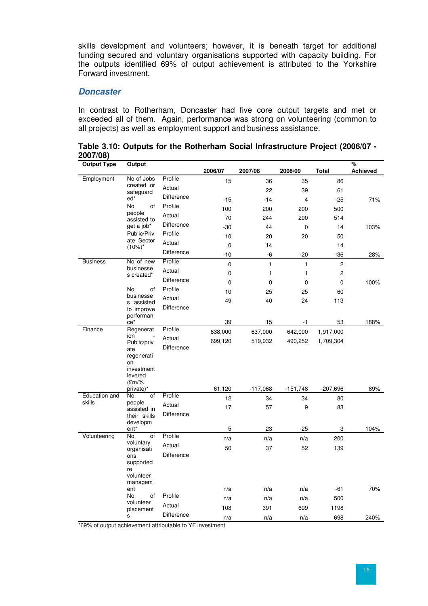skills development and volunteers; however, it is beneath target for additional funding secured and voluntary organisations supported with capacity building. For the outputs identified 69% of output achievement is attributed to the Yorkshire Forward investment.

# **Doncaster**

In contrast to Rotherham, Doncaster had five core output targets and met or exceeded all of them. Again, performance was strong on volunteering (common to all projects) as well as employment support and business assistance.

|          | Table 3.10: Outputs for the Rotherham Social Infrastructure Project (2006/07 - |  |  |  |
|----------|--------------------------------------------------------------------------------|--|--|--|
| 2007/08) |                                                                                |  |  |  |

| <b>Output Type</b> | Output                       |                   |         |            |             |                | %               |
|--------------------|------------------------------|-------------------|---------|------------|-------------|----------------|-----------------|
|                    |                              |                   | 2006/07 | 2007/08    | 2008/09     | <b>Total</b>   | <b>Achieved</b> |
| Employment         | No of Jobs                   | Profile           | 15      | 36         | 35          | 86             |                 |
|                    | created or<br>safeguard      | Actual            |         | 22         | 39          | 61             |                 |
|                    | $ed*$                        | Difference        | $-15$   | $-14$      | 4           | $-25$          | 71%             |
|                    | No<br>οf                     | Profile           | 100     | 200        | 200         | 500            |                 |
|                    | people<br>assisted to        | Actual            | 70      | 244        | 200         | 514            |                 |
|                    | get a job*                   | Difference        | $-30$   | 44         | 0           | 14             | 103%            |
|                    | Public/Priv                  | Profile           | 10      | 20         | 20          | 50             |                 |
|                    | ate Sector<br>$(10\%)^*$     | Actual            | 0       | 14         |             | 14             |                 |
|                    |                              | Difference        | $-10$   | -6         | $-20$       | $-36$          | 28%             |
| <b>Business</b>    | No of new                    | Profile           | 0       | 1          | 1           | $\overline{c}$ |                 |
|                    | businesse<br>s created*      | Actual            | 0       | 1          | 1           | $\overline{c}$ |                 |
|                    |                              | <b>Difference</b> | 0       | 0          | $\mathbf 0$ | $\mathbf 0$    | 100%            |
|                    | No<br>of<br>businesse        | Profile           | 10      | 25         | 25          | 60             |                 |
|                    | s assisted                   | Actual            | 49      | 40         | 24          | 113            |                 |
|                    | to improve                   | Difference        |         |            |             |                |                 |
|                    | performan<br>$ce^*$          |                   | 39      | 15         | $-1$        | 53             | 188%            |
| Finance            | Regenerat                    | Profile           | 638,000 | 637,000    | 642,000     | 1,917,000      |                 |
|                    | ion<br>Public/priv           | Actual            | 699,120 | 519,932    | 490,252     | 1,709,304      |                 |
|                    | ate                          | Difference        |         |            |             |                |                 |
|                    | regenerati                   |                   |         |            |             |                |                 |
|                    | on<br>investment             |                   |         |            |             |                |                 |
|                    | levered                      |                   |         |            |             |                |                 |
|                    | $Em/\%$<br>private)*         |                   | 61,120  | $-117,068$ | $-151,748$  | $-207,696$     | 89%             |
| Education and      | No<br>οf                     | Profile           | 12      | 34         | 34          | 80             |                 |
| skills             | people                       | Actual            | 17      | 57         | 9           | 83             |                 |
|                    | assisted in<br>their skills  | Difference        |         |            |             |                |                 |
|                    | developm                     |                   |         |            |             |                |                 |
| Volunteering       | ent <sup>*</sup><br>of<br>No | Profile           | 5       | 23         | $-25$       | 3              | 104%            |
|                    | voluntary                    | Actual            | n/a     | n/a        | n/a         | 200            |                 |
|                    | organisati                   | Difference        | 50      | 37         | 52          | 139            |                 |
|                    | ons<br>supported             |                   |         |            |             |                |                 |
|                    | re                           |                   |         |            |             |                |                 |
|                    | volunteer<br>managem         |                   |         |            |             |                |                 |
|                    | ent                          |                   | n/a     | n/a        | n/a         | $-61$          | 70%             |
|                    | No<br>of                     | Profile           | n/a     | n/a        | n/a         | 500            |                 |
|                    | volunteer<br>placement       | Actual            | 108     | 391        | 699         | 1198           |                 |
|                    | s                            | <b>Difference</b> | n/a     | n/a        | n/a         | 698            | 240%            |

\*69% of output achievement attributable to YF investment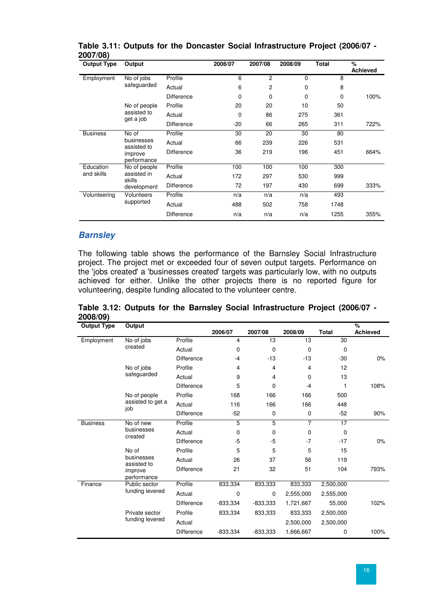| <b>Output Type</b>       | Output                    |                   | 2006/07 | 2007/08        | 2008/09     | <b>Total</b> | %<br><b>Achieved</b> |
|--------------------------|---------------------------|-------------------|---------|----------------|-------------|--------------|----------------------|
| Employment               | No of jobs                | Profile           | 6       | $\overline{2}$ | $\mathbf 0$ | 8            |                      |
|                          | safeguarded               | Actual            | 6       | $\overline{c}$ | 0           | 8            |                      |
|                          |                           | <b>Difference</b> | 0       | 0              | 0           | 0            | 100%                 |
|                          | No of people              | Profile           | 20      | 20             | 10          | 50           |                      |
| assisted to<br>get a job | Actual                    | 0                 | 86      | 275            | 361         |              |                      |
|                          |                           | <b>Difference</b> | $-20$   | 66             | 265         | 311          | 722%                 |
| <b>Business</b>          | No of                     | Profile           | 30      | 20             | 30          | 80           |                      |
|                          | businesses<br>assisted to | Actual            | 66      | 239            | 226         | 531          |                      |
|                          | improve<br>performance    | <b>Difference</b> | 36      | 219            | 196         | 451          | 664%                 |
| Education                | No of people              | Profile           | 100     | 100            | 100         | 300          |                      |
| and skills               | assisted in<br>skills     | Actual            | 172     | 297            | 530         | 999          |                      |
|                          | development               | <b>Difference</b> | 72      | 197            | 430         | 699          | 333%                 |
| Volunteering             | Volunteers                | Profile           | n/a     | n/a            | n/a         | 493          |                      |
|                          | supported                 | Actual            | 488     | 502            | 758         | 1748         |                      |
|                          |                           | <b>Difference</b> | n/a     | n/a            | n/a         | 1255         | 355%                 |

### **Table 3.11: Outputs for the Doncaster Social Infrastructure Project (2006/07 - 2007/08)**

### **Barnsley**

The following table shows the performance of the Barnsley Social Infrastructure project. The project met or exceeded four of seven output targets. Performance on the 'jobs created' a 'businesses created' targets was particularly low, with no outputs achieved for either. Unlike the other projects there is no reported figure for volunteering, despite funding allocated to the volunteer centre.

**Table 3.12: Outputs for the Barnsley Social Infrastructure Project (2006/07 - 2008/09)** 

| <b>Output Type</b> | Output                    |                   |             |                |                |              | %               |
|--------------------|---------------------------|-------------------|-------------|----------------|----------------|--------------|-----------------|
|                    |                           |                   | 2006/07     | 2007/08        | 2008/09        | <b>Total</b> | <b>Achieved</b> |
| Employment         | No of jobs                | Profile           | 4           | 13             | 13             | 30           |                 |
|                    | created                   | Actual            | $\mathbf 0$ | 0              | $\mathbf 0$    | $\mathbf 0$  |                 |
|                    |                           | <b>Difference</b> | $-4$        | $-13$          | $-13$          | $-30$        | 0%              |
|                    | No of jobs                | Profile           | 4           | 4              | 4              | 12           |                 |
|                    | safeguarded               | Actual            | 9           | $\overline{4}$ | $\mathbf 0$    | 13           |                 |
|                    |                           | <b>Difference</b> | 5           | 0              | $-4$           | 1            | 108%            |
|                    | No of people              | Profile           | 168         | 166            | 166            | 500          |                 |
|                    | assisted to get a<br>job  | Actual            | 116         | 166            | 166            | 448          |                 |
|                    | <b>Difference</b>         | $-52$             | $\mathbf 0$ | 0              | $-52$          | 90%          |                 |
| <b>Business</b>    | No of new                 | Profile           | 5           | 5              | $\overline{7}$ | 17           |                 |
| businesses         | created                   | Actual            | 0           | 0              | $\mathbf 0$    | 0            |                 |
|                    |                           | <b>Difference</b> | $-5$        | -5             | $-7$           | $-17$        | 0%              |
|                    | No of                     | Profile           | 5           | 5              | 5              | 15           |                 |
|                    | businesses<br>assisted to | Actual            | 26          | 37             | 56             | 119          |                 |
|                    | improve<br>performance    | Difference        | 21          | 32             | 51             | 104          | 793%            |
| Finance            | Public sector             | Profile           | 833,334     | 833,333        | 833,333        | 2,500,000    |                 |
|                    | funding levered           | Actual            | $\Omega$    | 0              | 2,555,000      | 2,555,000    |                 |
|                    |                           | <b>Difference</b> | $-833,334$  | $-833,333$     | 1,721,667      | 55,000       | 102%            |
|                    | Private sector            | Profile           | 833,334     | 833,333        | 833,333        | 2,500,000    |                 |
|                    | funding levered           | Actual            |             |                | 2,500,000      | 2,500,000    |                 |
|                    |                           | Difference        | $-833,334$  | $-833,333$     | 1,666,667      | 0            | 100%            |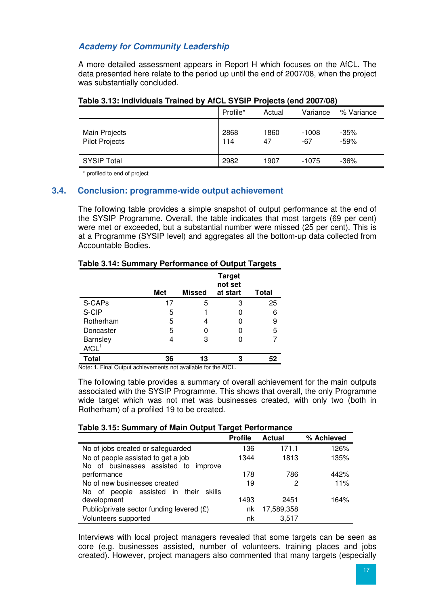# **Academy for Community Leadership**

A more detailed assessment appears in Report H which focuses on the AfCL. The data presented here relate to the period up until the end of 2007/08, when the project was substantially concluded.

| $1.4910$ of 191 might issued than 196 by this motion. The police form model |             |            |                |                  |
|-----------------------------------------------------------------------------|-------------|------------|----------------|------------------|
|                                                                             | Profile*    | Actual     | Variance       | % Variance       |
| Main Projects<br><b>Pilot Projects</b>                                      | 2868<br>114 | 1860<br>47 | $-1008$<br>-67 | $-35%$<br>$-59%$ |
| <b>SYSIP Total</b>                                                          | 2982        | 1907       | $-1075$        | $-36%$           |

# **Table 3.13: Individuals Trained by AfCL SYSIP Projects (end 2007/08)**

\* profiled to end of project

### **3.4. Conclusion: programme-wide output achievement**

The following table provides a simple snapshot of output performance at the end of the SYSIP Programme. Overall, the table indicates that most targets (69 per cent) were met or exceeded, but a substantial number were missed (25 per cent). This is at a Programme (SYSIP level) and aggregates all the bottom-up data collected from Accountable Bodies.

#### **Table 3.14: Summary Performance of Output Targets**

|                   |            |               | <b>Target</b><br>not set |              |
|-------------------|------------|---------------|--------------------------|--------------|
|                   | <b>Met</b> | <b>Missed</b> | at start                 | <b>Total</b> |
| S-CAPs            | 17         | 5             | 3                        | 25           |
| S-CIP             | 5          |               |                          | 6            |
| Rotherham         | 5          | 4             |                          | 9            |
| Doncaster         | 5          | O             |                          | 5            |
| Barnsley          | 4          | 3             |                          |              |
| AfCL <sup>1</sup> |            |               |                          |              |
| <b>Total</b>      | 36         | 13            | З                        |              |

Note: 1. Final Output achievements not available for the AfCL.

The following table provides a summary of overall achievement for the main outputs associated with the SYSIP Programme. This shows that overall, the only Programme wide target which was not met was businesses created, with only two (both in Rotherham) of a profiled 19 to be created.

#### **Table 3.15: Summary of Main Output Target Performance**

|                                             | <b>Profile</b> | <b>Actual</b> | % Achieved |
|---------------------------------------------|----------------|---------------|------------|
| No of jobs created or safeguarded           | 136            | 171.1         | 126%       |
| No of people assisted to get a job          | 1344           | 1813          | 135%       |
| No of businesses assisted to improve        |                |               |            |
| performance                                 | 178            | 786           | 442%       |
| No of new businesses created                | 19             | 2             | 11%        |
| No of people assisted in their<br>skills    |                |               |            |
| development                                 | 1493           | 2451          | 164%       |
| Public/private sector funding levered $(E)$ | nk             | 17,589,358    |            |
| Volunteers supported                        | nk             | 3,517         |            |

Interviews with local project managers revealed that some targets can be seen as core (e.g. businesses assisted, number of volunteers, training places and jobs created). However, project managers also commented that many targets (especially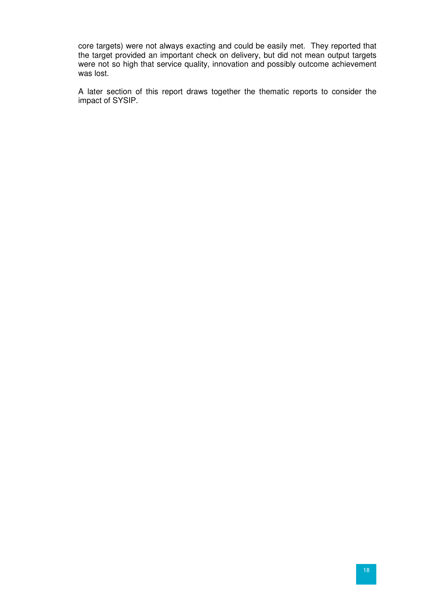core targets) were not always exacting and could be easily met. They reported that the target provided an important check on delivery, but did not mean output targets were not so high that service quality, innovation and possibly outcome achievement was lost.

A later section of this report draws together the thematic reports to consider the impact of SYSIP.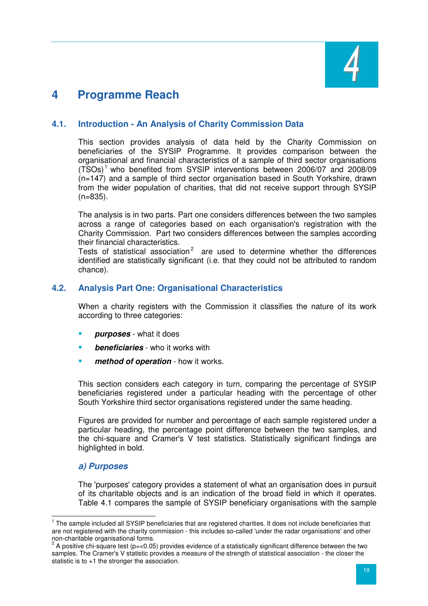

# **4 Programme Reach**

# **4.1. Introduction - An Analysis of Charity Commission Data**

This section provides analysis of data held by the Charity Commission on beneficiaries of the SYSIP Programme. It provides comparison between the organisational and financial characteristics of a sample of third sector organisations  $(TSOs)^1$  who benefited from SYSIP interventions between 2006/07 and 2008/09 (n=147) and a sample of third sector organisation based in South Yorkshire, drawn from the wider population of charities, that did not receive support through SYSIP (n=835).

The analysis is in two parts. Part one considers differences between the two samples across a range of categories based on each organisation's registration with the Charity Commission. Part two considers differences between the samples according their financial characteristics.

Tests of statistical association<sup>2</sup> are used to determine whether the differences identified are statistically significant (i.e. that they could not be attributed to random chance).

# **4.2. Analysis Part One: Organisational Characteristics**

When a charity registers with the Commission it classifies the nature of its work according to three categories:

- **purposes** what it does
- **beneficiaries** who it works with
- **method of operation** how it works.

This section considers each category in turn, comparing the percentage of SYSIP beneficiaries registered under a particular heading with the percentage of other South Yorkshire third sector organisations registered under the same heading.

Figures are provided for number and percentage of each sample registered under a particular heading, the percentage point difference between the two samples, and the chi-square and Cramer's V test statistics. Statistically significant findings are highlighted in bold.

# **a) Purposes**

The 'purposes' category provides a statement of what an organisation does in pursuit of its charitable objects and is an indication of the broad field in which it operates. Table 4.1 compares the sample of SYSIP beneficiary organisations with the sample

 $\overline{a}$ <sup>1</sup> The sample included all SYSIP beneficiaries that are registered charities. It does not include beneficiaries that are not registered with the charity commission - this includes so-called 'under the radar organisations' and other

non-charitable organisational forms.<br><sup>2</sup> A positive chi-square test (p=<0.05) provides evidence of a statistically significant difference between the two samples. The Cramer's V statistic provides a measure of the strength of statistical association - the closer the statistic is to +1 the stronger the association.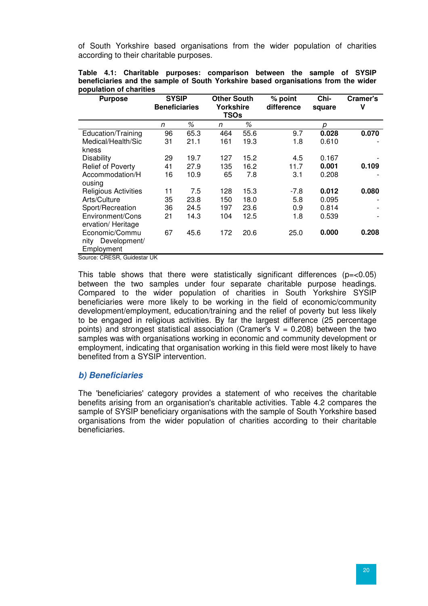of South Yorkshire based organisations from the wider population of charities according to their charitable purposes.

| <b>Purpose</b>              |    | <b>SYSIP</b><br><b>Beneficiaries</b> |     | <b>Other South</b><br>Yorkshire<br><b>TSOs</b> | % point<br>difference | Chi-<br>square | Cramer's<br>٧ |
|-----------------------------|----|--------------------------------------|-----|------------------------------------------------|-----------------------|----------------|---------------|
|                             | n  | %                                    | n   | %                                              |                       | р              |               |
| Education/Training          | 96 | 65.3                                 | 464 | 55.6                                           | 9.7                   | 0.028          | 0.070         |
| Medical/Health/Sic          | 31 | 21.1                                 | 161 | 19.3                                           | 1.8                   | 0.610          |               |
| kness                       |    |                                      |     |                                                |                       |                |               |
| <b>Disability</b>           | 29 | 19.7                                 | 127 | 15.2                                           | 4.5                   | 0.167          |               |
| <b>Relief of Poverty</b>    | 41 | 27.9                                 | 135 | 16.2                                           | 11.7                  | 0.001          | 0.109         |
| Accommodation/H             | 16 | 10.9                                 | 65  | 7.8                                            | 3.1                   | 0.208          |               |
| ousing                      |    |                                      |     |                                                |                       |                |               |
| <b>Religious Activities</b> | 11 | 7.5                                  | 128 | 15.3                                           | $-7.8$                | 0.012          | 0.080         |
| Arts/Culture                | 35 | 23.8                                 | 150 | 18.0                                           | 5.8                   | 0.095          |               |
| Sport/Recreation            | 36 | 24.5                                 | 197 | 23.6                                           | 0.9                   | 0.814          |               |
| Environment/Cons            | 21 | 14.3                                 | 104 | 12.5                                           | 1.8                   | 0.539          |               |
| ervation/ Heritage          |    |                                      |     |                                                |                       |                |               |
| Economic/Commu              | 67 | 45.6                                 | 172 | 20.6                                           | 25.0                  | 0.000          | 0.208         |
| nity Development/           |    |                                      |     |                                                |                       |                |               |
| Employment                  |    |                                      |     |                                                |                       |                |               |

**Table 4.1: Charitable purposes: comparison between the sample of SYSIP beneficiaries and the sample of South Yorkshire based organisations from the wider population of charities** 

Source: CRESR, Guidestar UK

This table shows that there were statistically significant differences ( $p = < 0.05$ ) between the two samples under four separate charitable purpose headings. Compared to the wider population of charities in South Yorkshire SYSIP beneficiaries were more likely to be working in the field of economic/community development/employment, education/training and the relief of poverty but less likely to be engaged in religious activities. By far the largest difference (25 percentage points) and strongest statistical association (Cramer's  $V = 0.208$ ) between the two samples was with organisations working in economic and community development or employment, indicating that organisation working in this field were most likely to have benefited from a SYSIP intervention.

#### **b) Beneficiaries**

The 'beneficiaries' category provides a statement of who receives the charitable benefits arising from an organisation's charitable activities. Table 4.2 compares the sample of SYSIP beneficiary organisations with the sample of South Yorkshire based organisations from the wider population of charities according to their charitable beneficiaries.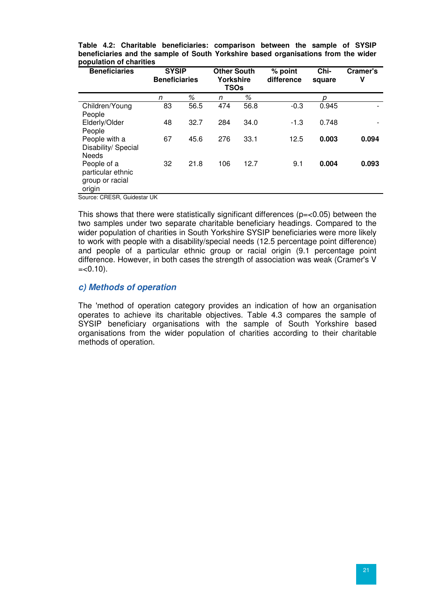| <b>Beneficiaries</b>                                          |    | <b>SYSIP</b><br><b>Other South</b><br><b>Beneficiaries</b><br>Yorkshire<br><b>TSOs</b> |     | % point<br>difference | Chi-<br>square |       |       |
|---------------------------------------------------------------|----|----------------------------------------------------------------------------------------|-----|-----------------------|----------------|-------|-------|
|                                                               | n  | %                                                                                      | n   | %                     |                | р     |       |
| Children/Young<br>People                                      | 83 | 56.5                                                                                   | 474 | 56.8                  | $-0.3$         | 0.945 |       |
| Elderly/Older<br>People                                       | 48 | 32.7                                                                                   | 284 | 34.0                  | $-1.3$         | 0.748 |       |
| People with a<br>Disability/ Special<br><b>Needs</b>          | 67 | 45.6                                                                                   | 276 | 33.1                  | 12.5           | 0.003 | 0.094 |
| People of a<br>particular ethnic<br>group or racial<br>origin | 32 | 21.8                                                                                   | 106 | 12.7                  | 9.1            | 0.004 | 0.093 |

**Table 4.2: Charitable beneficiaries: comparison between the sample of SYSIP beneficiaries and the sample of South Yorkshire based organisations from the wider population of charities** 

Source: CRESR, Guidestar UK

This shows that there were statistically significant differences ( $p = 0.05$ ) between the two samples under two separate charitable beneficiary headings. Compared to the wider population of charities in South Yorkshire SYSIP beneficiaries were more likely to work with people with a disability/special needs (12.5 percentage point difference) and people of a particular ethnic group or racial origin (9.1 percentage point difference. However, in both cases the strength of association was weak (Cramer's V  $=<0.10$ ).

#### **c) Methods of operation**

The 'method of operation category provides an indication of how an organisation operates to achieve its charitable objectives. Table 4.3 compares the sample of SYSIP beneficiary organisations with the sample of South Yorkshire based organisations from the wider population of charities according to their charitable methods of operation.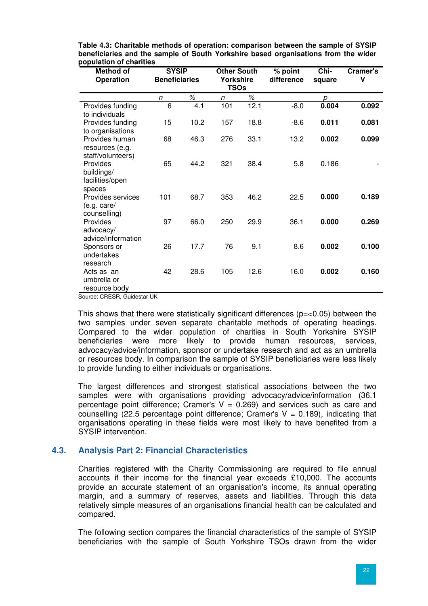| <b>Method of</b><br><b>Operation</b>                   | <b>SYSIP</b><br><b>Beneficiaries</b> |      | <b>Other South</b><br>Yorkshire<br><b>TSOs</b> |      | $%$ point<br>difference | Chi-<br>square | Cramer's<br>V |
|--------------------------------------------------------|--------------------------------------|------|------------------------------------------------|------|-------------------------|----------------|---------------|
|                                                        | n                                    | ℅    | n                                              | %    |                         | р              |               |
| Provides funding<br>to individuals                     | 6                                    | 4.1  | 101                                            | 12.1 | $-8.0$                  | 0.004          | 0.092         |
| Provides funding<br>to organisations                   | 15                                   | 10.2 | 157                                            | 18.8 | $-8.6$                  | 0.011          | 0.081         |
| Provides human<br>resources (e.g.<br>staff/volunteers) | 68                                   | 46.3 | 276                                            | 33.1 | 13.2                    | 0.002          | 0.099         |
| Provides<br>buildings/<br>facilities/open<br>spaces    | 65                                   | 44.2 | 321                                            | 38.4 | 5.8                     | 0.186          |               |
| Provides services<br>(e.g. care/<br>counselling)       | 101                                  | 68.7 | 353                                            | 46.2 | 22.5                    | 0.000          | 0.189         |
| Provides<br>advocacy/<br>advice/information            | 97                                   | 66.0 | 250                                            | 29.9 | 36.1                    | 0.000          | 0.269         |
| Sponsors or<br>undertakes<br>research                  | 26                                   | 17.7 | 76                                             | 9.1  | 8.6                     | 0.002          | 0.100         |
| Acts as an<br>umbrella or<br>resource body             | 42                                   | 28.6 | 105                                            | 12.6 | 16.0                    | 0.002          | 0.160         |

**Table 4.3: Charitable methods of operation: comparison between the sample of SYSIP beneficiaries and the sample of South Yorkshire based organisations from the wider population of charities**

Source: CRESR, Guidestar UK

This shows that there were statistically significant differences ( $p = < 0.05$ ) between the two samples under seven separate charitable methods of operating headings. Compared to the wider population of charities in South Yorkshire SYSIP beneficiaries were more likely to provide human resources, services, advocacy/advice/information, sponsor or undertake research and act as an umbrella or resources body. In comparison the sample of SYSIP beneficiaries were less likely to provide funding to either individuals or organisations.

The largest differences and strongest statistical associations between the two samples were with organisations providing advocacy/advice/information (36.1 percentage point difference; Cramer's  $V = 0.269$ ) and services such as care and counselling (22.5 percentage point difference: Cramer's  $V = 0.189$ ), indicating that organisations operating in these fields were most likely to have benefited from a SYSIP intervention.

# **4.3. Analysis Part 2: Financial Characteristics**

Charities registered with the Charity Commissioning are required to file annual accounts if their income for the financial year exceeds £10,000. The accounts provide an accurate statement of an organisation's income, its annual operating margin, and a summary of reserves, assets and liabilities. Through this data relatively simple measures of an organisations financial health can be calculated and compared.

The following section compares the financial characteristics of the sample of SYSIP beneficiaries with the sample of South Yorkshire TSOs drawn from the wider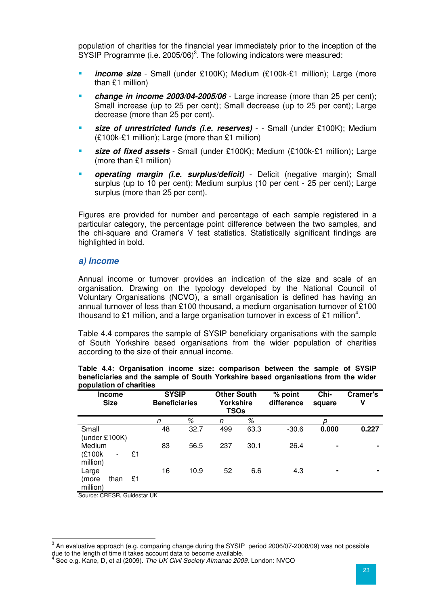population of charities for the financial year immediately prior to the inception of the  $SYSIP$  Programme (i.e. 2005/06)<sup>3</sup>. The following indicators were measured:

- **income size** Small (under £100K); Medium (£100k-£1 million); Large (more than £1 million)
- *change in income 2003/04-2005/06* Large increase (more than 25 per cent); Small increase (up to 25 per cent); Small decrease (up to 25 per cent); Large decrease (more than 25 per cent).
- **size of unrestricted funds (i.e. reserves)** - Small (under £100K); Medium (£100k-£1 million); Large (more than £1 million)
- **size of fixed assets** Small (under £100K); Medium (£100k-£1 million); Large (more than £1 million)
- **operating margin (i.e. surplus/deficit)** Deficit (negative margin); Small surplus (up to 10 per cent); Medium surplus (10 per cent - 25 per cent); Large surplus (more than 25 per cent).

Figures are provided for number and percentage of each sample registered in a particular category, the percentage point difference between the two samples, and the chi-square and Cramer's V test statistics. Statistically significant findings are highlighted in bold.

#### **a) Income**

Annual income or turnover provides an indication of the size and scale of an organisation. Drawing on the typology developed by the National Council of Voluntary Organisations (NCVO), a small organisation is defined has having an annual turnover of less than £100 thousand, a medium organisation turnover of £100 thousand to £1 million, and a large organisation turnover in excess of £1 million<sup>4</sup>.

Table 4.4 compares the sample of SYSIP beneficiary organisations with the sample of South Yorkshire based organisations from the wider population of charities according to the size of their annual income.

|  | Table 4.4: Organisation income size: comparison between the sample of SYSIP        |  |  |  |  |  |
|--|------------------------------------------------------------------------------------|--|--|--|--|--|
|  | beneficiaries and the sample of South Yorkshire based organisations from the wider |  |  |  |  |  |
|  | population of charities                                                            |  |  |  |  |  |

| <b>Income</b><br><b>Size</b>                                   | <b>SYSIP</b><br><b>Beneficiaries</b> |      | <b>Other South</b><br><b>Yorkshire</b><br><b>TSOs</b> |      | % point<br>difference | Chi-<br>square | Cramer's<br>٧ |
|----------------------------------------------------------------|--------------------------------------|------|-------------------------------------------------------|------|-----------------------|----------------|---------------|
|                                                                | n                                    | %    | n                                                     | %    |                       |                |               |
| Small<br>(under $£100K$ )                                      | 48                                   | 32.7 | 499                                                   | 63.3 | $-30.6$               | 0.000          | 0.227         |
| Medium<br>(£100k<br>£1<br>$\overline{\phantom{a}}$<br>million) | 83                                   | 56.5 | 237                                                   | 30.1 | 26.4                  | ۰              | ۰             |
| Large<br>£1<br>than<br>(more<br>million)                       | 16                                   | 10.9 | 52                                                    | 6.6  | 4.3                   | ٠              | ۰             |

Source: CRESR, Guidestar UK

and a mediative approach (e.g. comparing change during the SYSIP period 2006/07-2008/09) was not possible<br>An evaluative approach (e.g. comparing change during the SYSIP period 2006/07-2008/09) was not possible due to the length of time it takes account data to become available.<br><sup>4</sup> See e.g. Kane, D. et al (2000), *The UK Civil Society Almanee* 2000

See e.g. Kane, D, et al (2009). The UK Civil Society Almanac 2009. London: NVCO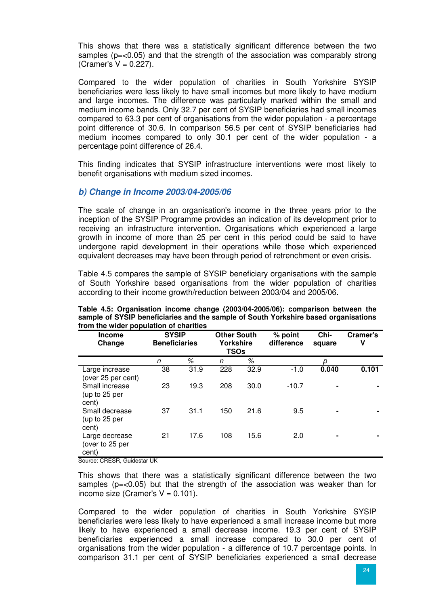This shows that there was a statistically significant difference between the two samples  $(p=<0.05)$  and that the strength of the association was comparably strong (Cramer's  $V = 0.227$ ).

Compared to the wider population of charities in South Yorkshire SYSIP beneficiaries were less likely to have small incomes but more likely to have medium and large incomes. The difference was particularly marked within the small and medium income bands. Only 32.7 per cent of SYSIP beneficiaries had small incomes compared to 63.3 per cent of organisations from the wider population - a percentage point difference of 30.6. In comparison 56.5 per cent of SYSIP beneficiaries had medium incomes compared to only 30.1 per cent of the wider population - a percentage point difference of 26.4.

This finding indicates that SYSIP infrastructure interventions were most likely to benefit organisations with medium sized incomes.

### **b) Change in Income 2003/04-2005/06**

The scale of change in an organisation's income in the three years prior to the inception of the SYSIP Programme provides an indication of its development prior to receiving an infrastructure intervention. Organisations which experienced a large growth in income of more than 25 per cent in this period could be said to have undergone rapid development in their operations while those which experienced equivalent decreases may have been through period of retrenchment or even crisis.

Table 4.5 compares the sample of SYSIP beneficiary organisations with the sample of South Yorkshire based organisations from the wider population of charities according to their income growth/reduction between 2003/04 and 2005/06.

| <b>Income</b><br>Change                    | <b>SYSIP</b><br><b>Beneficiaries</b> |      | <b>Other South</b><br><b>Yorkshire</b><br>TSOs |      | % point<br>difference | Chi-<br>square | Cramer's<br>٧ |
|--------------------------------------------|--------------------------------------|------|------------------------------------------------|------|-----------------------|----------------|---------------|
|                                            | n                                    | %    | n                                              | %    |                       | D              |               |
| Large increase<br>(over 25 per cent)       | 38                                   | 31.9 | 228                                            | 32.9 | $-1.0$                | 0.040          | 0.101         |
| Small increase<br>(up to 25 per<br>cent)   | 23                                   | 19.3 | 208                                            | 30.0 | $-10.7$               | $\blacksquare$ |               |
| Small decrease<br>(up to 25 per<br>cent)   | 37                                   | 31.1 | 150                                            | 21.6 | 9.5                   |                |               |
| Large decrease<br>(over to 25 per<br>cent) | 21                                   | 17.6 | 108                                            | 15.6 | 2.0                   |                |               |

**Table 4.5: Organisation income change (2003/04-2005/06): comparison between the sample of SYSIP beneficiaries and the sample of South Yorkshire based organisations from the wider population of charities** 

Source: CRESR, Guidestar UK

This shows that there was a statistically significant difference between the two samples  $(p=<0.05)$  but that the strength of the association was weaker than for income size (Cramer's  $V = 0.101$ ).

Compared to the wider population of charities in South Yorkshire SYSIP beneficiaries were less likely to have experienced a small increase income but more likely to have experienced a small decrease income. 19.3 per cent of SYSIP beneficiaries experienced a small increase compared to 30.0 per cent of organisations from the wider population - a difference of 10.7 percentage points. In comparison 31.1 per cent of SYSIP beneficiaries experienced a small decrease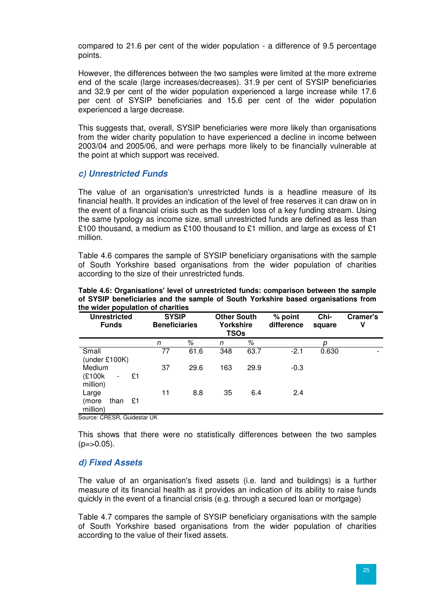compared to 21.6 per cent of the wider population - a difference of 9.5 percentage points.

However, the differences between the two samples were limited at the more extreme end of the scale (large increases/decreases). 31.9 per cent of SYSIP beneficiaries and 32.9 per cent of the wider population experienced a large increase while 17.6 per cent of SYSIP beneficiaries and 15.6 per cent of the wider population experienced a large decrease.

This suggests that, overall, SYSIP beneficiaries were more likely than organisations from the wider charity population to have experienced a decline in income between 2003/04 and 2005/06, and were perhaps more likely to be financially vulnerable at the point at which support was received.

### **c) Unrestricted Funds**

The value of an organisation's unrestricted funds is a headline measure of its financial health. It provides an indication of the level of free reserves it can draw on in the event of a financial crisis such as the sudden loss of a key funding stream. Using the same typology as income size, small unrestricted funds are defined as less than £100 thousand, a medium as £100 thousand to £1 million, and large as excess of £1 million.

Table 4.6 compares the sample of SYSIP beneficiary organisations with the sample of South Yorkshire based organisations from the wider population of charities according to the size of their unrestricted funds.

| <b>Unrestricted</b><br><b>Funds</b>                            | <b>SYSIP</b><br><b>Beneficiaries</b> |      | <b>Other South</b><br>Yorkshire<br>TSOs |      | % point<br>difference | Chi-<br>square | Cramer's<br>٧ |
|----------------------------------------------------------------|--------------------------------------|------|-----------------------------------------|------|-----------------------|----------------|---------------|
|                                                                | n                                    | %    | n                                       | %    |                       | p              |               |
| Small<br>(under £100K)                                         | 77                                   | 61.6 | 348                                     | 63.7 | $-2.1$                | 0.630          | -             |
| Medium<br>(£100k<br>£1<br>$\overline{\phantom{0}}$<br>million) | 37                                   | 29.6 | 163                                     | 29.9 | $-0.3$                |                |               |
| Large<br>£1<br>than<br>(more<br>million)                       | 11                                   | 8.8  | 35                                      | 6.4  | 2.4                   |                |               |

**Table 4.6: Organisations' level of unrestricted funds: comparison between the sample of SYSIP beneficiaries and the sample of South Yorkshire based organisations from the wider population of charities**

Source: CRESR, Guidestar UK

This shows that there were no statistically differences between the two samples  $(p = > 0.05)$ .

#### **d) Fixed Assets**

The value of an organisation's fixed assets (i.e. land and buildings) is a further measure of its financial health as it provides an indication of its ability to raise funds quickly in the event of a financial crisis (e.g. through a secured loan or mortgage)

Table 4.7 compares the sample of SYSIP beneficiary organisations with the sample of South Yorkshire based organisations from the wider population of charities according to the value of their fixed assets.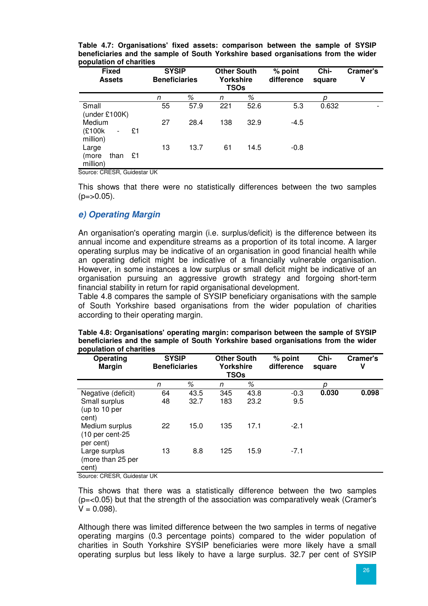| <b>Fixed</b><br><b>Assets</b>                                  | <b>SYSIP</b><br><b>Other South</b><br><b>Beneficiaries</b><br><b>Yorkshire</b><br><b>TSOs</b> |      | % point<br>difference | Chi-<br>square | Cramer's<br>٧ |       |  |
|----------------------------------------------------------------|-----------------------------------------------------------------------------------------------|------|-----------------------|----------------|---------------|-------|--|
|                                                                | n                                                                                             | %    | n                     | ℅              |               |       |  |
| Small<br>(under £100K)                                         | 55                                                                                            | 57.9 | 221                   | 52.6           | 5.3           | 0.632 |  |
| Medium<br>(£100k<br>£1<br>$\overline{\phantom{0}}$<br>million) | 27                                                                                            | 28.4 | 138                   | 32.9           | $-4.5$        |       |  |
| Large<br>£1<br>than<br>(more<br>million)                       | 13                                                                                            | 13.7 | 61                    | 14.5           | $-0.8$        |       |  |

**Table 4.7: Organisations' fixed assets: comparison between the sample of SYSIP beneficiaries and the sample of South Yorkshire based organisations from the wider population of charities**

Source: CRESR, Guidestar UK

This shows that there were no statistically differences between the two samples  $(p = > 0.05)$ .

#### **e) Operating Margin**

An organisation's operating margin (i.e. surplus/deficit) is the difference between its annual income and expenditure streams as a proportion of its total income. A larger operating surplus may be indicative of an organisation in good financial health while an operating deficit might be indicative of a financially vulnerable organisation. However, in some instances a low surplus or small deficit might be indicative of an organisation pursuing an aggressive growth strategy and forgoing short-term financial stability in return for rapid organisational development.

Table 4.8 compares the sample of SYSIP beneficiary organisations with the sample of South Yorkshire based organisations from the wider population of charities according to their operating margin.

| Operating<br><b>Margin</b>                       | <b>SYSIP</b><br><b>Beneficiaries</b> |      | <b>Other South</b><br>Yorkshire<br><b>TSOs</b> |      | % point<br>difference | Chi-<br>square | Cramer's<br>v |
|--------------------------------------------------|--------------------------------------|------|------------------------------------------------|------|-----------------------|----------------|---------------|
|                                                  | n                                    | %    | n                                              | $\%$ |                       | n              |               |
| Negative (deficit)                               | 64                                   | 43.5 | 345                                            | 43.8 | $-0.3$                | 0.030          | 0.098         |
| Small surplus<br>(up to 10 per<br>cent)          | 48                                   | 32.7 | 183                                            | 23.2 | 9.5                   |                |               |
| Medium surplus<br>$(10$ per cent-25<br>per cent) | 22                                   | 15.0 | 135                                            | 17.1 | $-2.1$                |                |               |
| Large surplus<br>(more than 25 per<br>cent)      | 13                                   | 8.8  | 125                                            | 15.9 | $-7.1$                |                |               |

| Table 4.8: Organisations' operating margin: comparison between the sample of SYSIP |  |
|------------------------------------------------------------------------------------|--|
| beneficiaries and the sample of South Yorkshire based organisations from the wider |  |
| population of charities                                                            |  |

Source: CRESR, Guidestar UK

This shows that there was a statistically difference between the two samples (p=<0.05) but that the strength of the association was comparatively weak (Cramer's  $V = 0.098$ ).

Although there was limited difference between the two samples in terms of negative operating margins (0.3 percentage points) compared to the wider population of charities in South Yorkshire SYSIP beneficiaries were more likely have a small operating surplus but less likely to have a large surplus. 32.7 per cent of SYSIP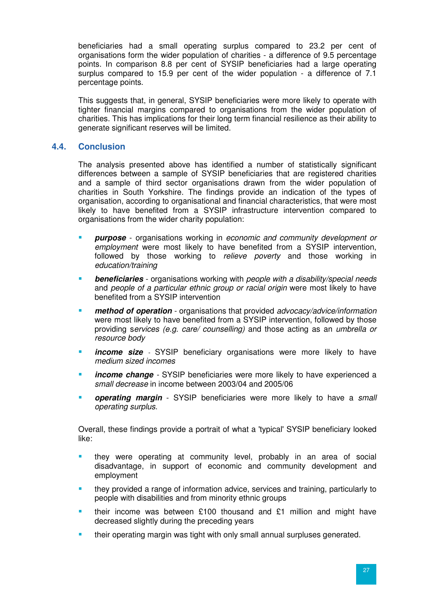beneficiaries had a small operating surplus compared to 23.2 per cent of organisations form the wider population of charities - a difference of 9.5 percentage points. In comparison 8.8 per cent of SYSIP beneficiaries had a large operating surplus compared to 15.9 per cent of the wider population - a difference of 7.1 percentage points.

This suggests that, in general, SYSIP beneficiaries were more likely to operate with tighter financial margins compared to organisations from the wider population of charities. This has implications for their long term financial resilience as their ability to generate significant reserves will be limited.

### **4.4. Conclusion**

The analysis presented above has identified a number of statistically significant differences between a sample of SYSIP beneficiaries that are registered charities and a sample of third sector organisations drawn from the wider population of charities in South Yorkshire. The findings provide an indication of the types of organisation, according to organisational and financial characteristics, that were most likely to have benefited from a SYSIP infrastructure intervention compared to organisations from the wider charity population:

- **purpose**  organisations working in economic and community development or employment were most likely to have benefited from a SYSIP intervention, followed by those working to relieve poverty and those working in education/training
- **beneficiaries** organisations working with people with a disability/special needs and people of a particular ethnic group or racial origin were most likely to have benefited from a SYSIP intervention
- **method of operation** organisations that provided *advocacy/advice/information* were most likely to have benefited from a SYSIP intervention, followed by those providing services (e.g. care/ counselling) and those acting as an umbrella or resource body
- **income size**  SYSIP beneficiary organisations were more likely to have medium sized incomes
- **income change**  SYSIP beneficiaries were more likely to have experienced a small decrease in income between 2003/04 and 2005/06
- **operating margin** SYSIP beneficiaries were more likely to have a small operating surplus.

Overall, these findings provide a portrait of what a 'typical' SYSIP beneficiary looked like:

- they were operating at community level, probably in an area of social disadvantage, in support of economic and community development and employment
- they provided a range of information advice, services and training, particularly to people with disabilities and from minority ethnic groups
- their income was between £100 thousand and £1 million and might have decreased slightly during the preceding years
- their operating margin was tight with only small annual surpluses generated.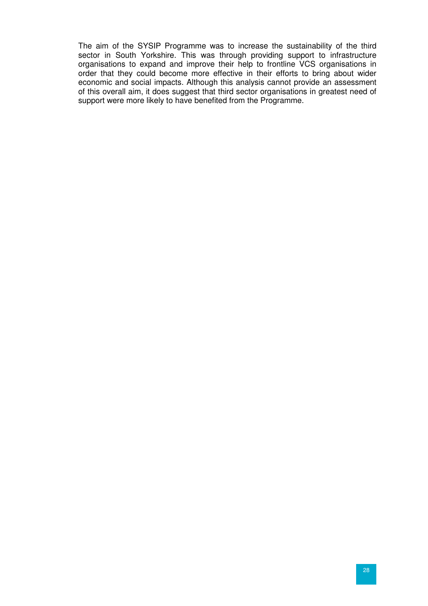The aim of the SYSIP Programme was to increase the sustainability of the third sector in South Yorkshire. This was through providing support to infrastructure organisations to expand and improve their help to frontline VCS organisations in order that they could become more effective in their efforts to bring about wider economic and social impacts. Although this analysis cannot provide an assessment of this overall aim, it does suggest that third sector organisations in greatest need of support were more likely to have benefited from the Programme.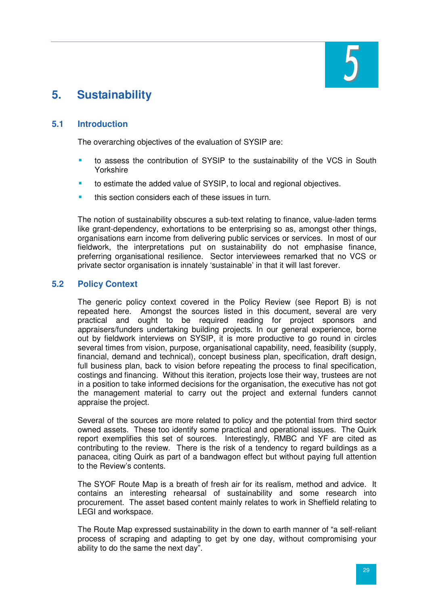

# **5. Sustainability**

# **5.1 Introduction**

The overarching objectives of the evaluation of SYSIP are:

- to assess the contribution of SYSIP to the sustainability of the VCS in South Yorkshire
- **to estimate the added value of SYSIP, to local and regional objectives.**
- this section considers each of these issues in turn.

The notion of sustainability obscures a sub-text relating to finance, value-laden terms like grant-dependency, exhortations to be enterprising so as, amongst other things, organisations earn income from delivering public services or services. In most of our fieldwork, the interpretations put on sustainability do not emphasise finance, preferring organisational resilience. Sector interviewees remarked that no VCS or private sector organisation is innately 'sustainable' in that it will last forever.

# **5.2 Policy Context**

The generic policy context covered in the Policy Review (see Report B) is not repeated here. Amongst the sources listed in this document, several are very practical and ought to be required reading for project sponsors and appraisers/funders undertaking building projects. In our general experience, borne out by fieldwork interviews on SYSIP, it is more productive to go round in circles several times from vision, purpose, organisational capability, need, feasibility (supply, financial, demand and technical), concept business plan, specification, draft design, full business plan, back to vision before repeating the process to final specification, costings and financing. Without this iteration, projects lose their way, trustees are not in a position to take informed decisions for the organisation, the executive has not got the management material to carry out the project and external funders cannot appraise the project.

Several of the sources are more related to policy and the potential from third sector owned assets. These too identify some practical and operational issues. The Quirk report exemplifies this set of sources. Interestingly, RMBC and YF are cited as contributing to the review. There is the risk of a tendency to regard buildings as a panacea, citing Quirk as part of a bandwagon effect but without paying full attention to the Review's contents.

The SYOF Route Map is a breath of fresh air for its realism, method and advice. It contains an interesting rehearsal of sustainability and some research into procurement. The asset based content mainly relates to work in Sheffield relating to LEGI and workspace.

The Route Map expressed sustainability in the down to earth manner of "a self-reliant process of scraping and adapting to get by one day, without compromising your ability to do the same the next day".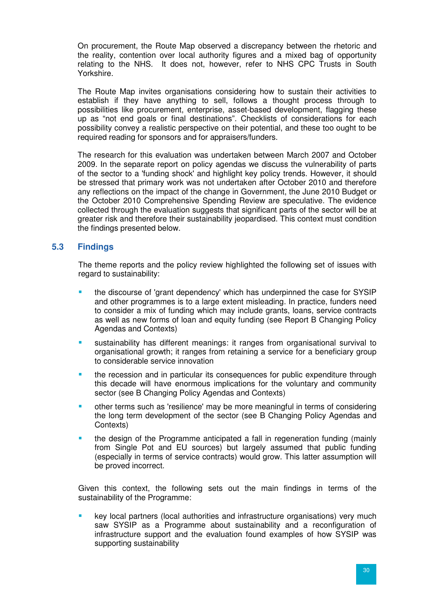On procurement, the Route Map observed a discrepancy between the rhetoric and the reality, contention over local authority figures and a mixed bag of opportunity relating to the NHS. It does not, however, refer to NHS CPC Trusts in South Yorkshire.

The Route Map invites organisations considering how to sustain their activities to establish if they have anything to sell, follows a thought process through to possibilities like procurement, enterprise, asset-based development, flagging these up as "not end goals or final destinations". Checklists of considerations for each possibility convey a realistic perspective on their potential, and these too ought to be required reading for sponsors and for appraisers/funders.

The research for this evaluation was undertaken between March 2007 and October 2009. In the separate report on policy agendas we discuss the vulnerability of parts of the sector to a 'funding shock' and highlight key policy trends. However, it should be stressed that primary work was not undertaken after October 2010 and therefore any reflections on the impact of the change in Government, the June 2010 Budget or the October 2010 Comprehensive Spending Review are speculative. The evidence collected through the evaluation suggests that significant parts of the sector will be at greater risk and therefore their sustainability jeopardised. This context must condition the findings presented below.

# **5.3 Findings**

The theme reports and the policy review highlighted the following set of issues with regard to sustainability:

- the discourse of 'grant dependency' which has underpinned the case for SYSIP and other programmes is to a large extent misleading. In practice, funders need to consider a mix of funding which may include grants, loans, service contracts as well as new forms of loan and equity funding (see Report B Changing Policy Agendas and Contexts)
- sustainability has different meanings: it ranges from organisational survival to organisational growth; it ranges from retaining a service for a beneficiary group to considerable service innovation
- the recession and in particular its consequences for public expenditure through this decade will have enormous implications for the voluntary and community sector (see B Changing Policy Agendas and Contexts)
- other terms such as 'resilience' may be more meaningful in terms of considering the long term development of the sector (see B Changing Policy Agendas and Contexts)
- the design of the Programme anticipated a fall in regeneration funding (mainly from Single Pot and EU sources) but largely assumed that public funding (especially in terms of service contracts) would grow. This latter assumption will be proved incorrect.

Given this context, the following sets out the main findings in terms of the sustainability of the Programme:

 key local partners (local authorities and infrastructure organisations) very much saw SYSIP as a Programme about sustainability and a reconfiguration of infrastructure support and the evaluation found examples of how SYSIP was supporting sustainability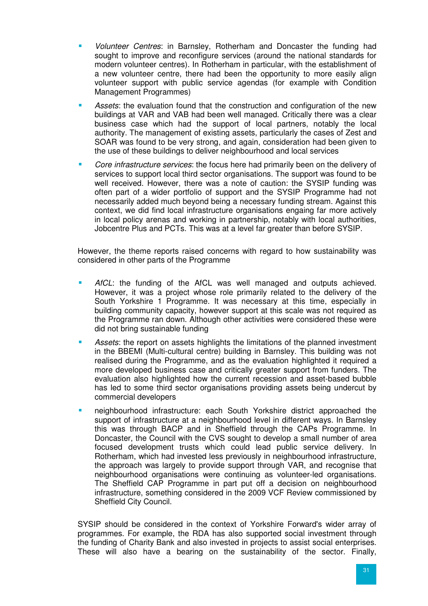- Volunteer Centres: in Barnsley, Rotherham and Doncaster the funding had sought to improve and reconfigure services (around the national standards for modern volunteer centres). In Rotherham in particular, with the establishment of a new volunteer centre, there had been the opportunity to more easily align volunteer support with public service agendas (for example with Condition Management Programmes)
- Assets: the evaluation found that the construction and configuration of the new buildings at VAR and VAB had been well managed. Critically there was a clear business case which had the support of local partners, notably the local authority. The management of existing assets, particularly the cases of Zest and SOAR was found to be very strong, and again, consideration had been given to the use of these buildings to deliver neighbourhood and local services
- Core infrastructure services: the focus here had primarily been on the delivery of services to support local third sector organisations. The support was found to be well received. However, there was a note of caution: the SYSIP funding was often part of a wider portfolio of support and the SYSIP Programme had not necessarily added much beyond being a necessary funding stream. Against this context, we did find local infrastructure organisations engaing far more actively in local policy arenas and working in partnership, notably with local authorities, Jobcentre Plus and PCTs. This was at a level far greater than before SYSIP.

However, the theme reports raised concerns with regard to how sustainability was considered in other parts of the Programme

- AfCL: the funding of the AfCL was well managed and outputs achieved. However, it was a project whose role primarily related to the delivery of the South Yorkshire 1 Programme. It was necessary at this time, especially in building community capacity, however support at this scale was not required as the Programme ran down. Although other activities were considered these were did not bring sustainable funding
- **Assets:** the report on assets highlights the limitations of the planned investment in the BBEMI (Multi-cultural centre) building in Barnsley. This building was not realised during the Programme, and as the evaluation highlighted it required a more developed business case and critically greater support from funders. The evaluation also highlighted how the current recession and asset-based bubble has led to some third sector organisations providing assets being undercut by commercial developers
- neighbourhood infrastructure: each South Yorkshire district approached the support of infrastructure at a neighbourhood level in different ways. In Barnsley this was through BACP and in Sheffield through the CAPs Programme. In Doncaster, the Council with the CVS sought to develop a small number of area focused development trusts which could lead public service delivery. In Rotherham, which had invested less previously in neighbourhood infrastructure, the approach was largely to provide support through VAR, and recognise that neighbourhood organisations were continuing as volunteer-led organisations. The Sheffield CAP Programme in part put off a decision on neighbourhood infrastructure, something considered in the 2009 VCF Review commissioned by Sheffield City Council.

SYSIP should be considered in the context of Yorkshire Forward's wider array of programmes. For example, the RDA has also supported social investment through the funding of Charity Bank and also invested in projects to assist social enterprises. These will also have a bearing on the sustainability of the sector. Finally,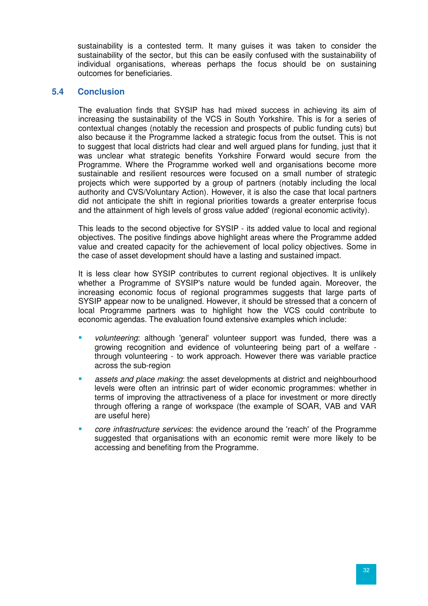sustainability is a contested term. It many guises it was taken to consider the sustainability of the sector, but this can be easily confused with the sustainability of individual organisations, whereas perhaps the focus should be on sustaining outcomes for beneficiaries.

### **5.4 Conclusion**

The evaluation finds that SYSIP has had mixed success in achieving its aim of increasing the sustainability of the VCS in South Yorkshire. This is for a series of contextual changes (notably the recession and prospects of public funding cuts) but also because it the Programme lacked a strategic focus from the outset. This is not to suggest that local districts had clear and well argued plans for funding, just that it was unclear what strategic benefits Yorkshire Forward would secure from the Programme. Where the Programme worked well and organisations become more sustainable and resilient resources were focused on a small number of strategic projects which were supported by a group of partners (notably including the local authority and CVS/Voluntary Action). However, it is also the case that local partners did not anticipate the shift in regional priorities towards a greater enterprise focus and the attainment of high levels of gross value added' (regional economic activity).

This leads to the second objective for SYSIP - its added value to local and regional objectives. The positive findings above highlight areas where the Programme added value and created capacity for the achievement of local policy objectives. Some in the case of asset development should have a lasting and sustained impact.

It is less clear how SYSIP contributes to current regional objectives. It is unlikely whether a Programme of SYSIP's nature would be funded again. Moreover, the increasing economic focus of regional programmes suggests that large parts of SYSIP appear now to be unaligned. However, it should be stressed that a concern of local Programme partners was to highlight how the VCS could contribute to economic agendas. The evaluation found extensive examples which include:

- volunteering: although 'general' volunteer support was funded, there was a growing recognition and evidence of volunteering being part of a welfare through volunteering - to work approach. However there was variable practice across the sub-region
- **EXECT** assets and place making: the asset developments at district and neighbourhood levels were often an intrinsic part of wider economic programmes: whether in terms of improving the attractiveness of a place for investment or more directly through offering a range of workspace (the example of SOAR, VAB and VAR are useful here)
- core infrastructure services: the evidence around the 'reach' of the Programme suggested that organisations with an economic remit were more likely to be accessing and benefiting from the Programme.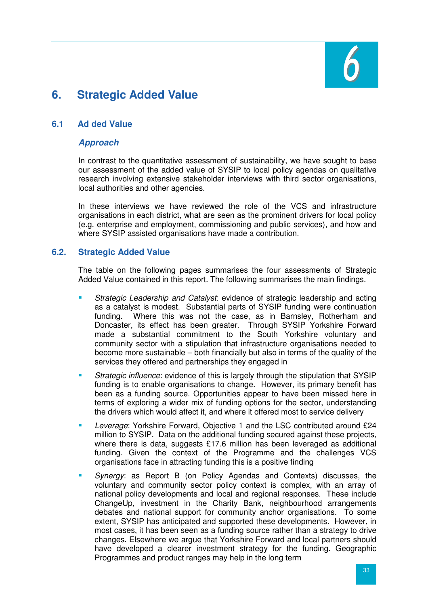

# **6. Strategic Added Value**

# **6.1 Ad ded Value**

#### **Approach**

In contrast to the quantitative assessment of sustainability, we have sought to base our assessment of the added value of SYSIP to local policy agendas on qualitative research involving extensive stakeholder interviews with third sector organisations, local authorities and other agencies.

In these interviews we have reviewed the role of the VCS and infrastructure organisations in each district, what are seen as the prominent drivers for local policy (e.g. enterprise and employment, commissioning and public services), and how and where SYSIP assisted organisations have made a contribution.

#### **6.2. Strategic Added Value**

The table on the following pages summarises the four assessments of Strategic Added Value contained in this report. The following summarises the main findings.

- Strategic Leadership and Catalyst: evidence of strategic leadership and acting as a catalyst is modest. Substantial parts of SYSIP funding were continuation funding. Where this was not the case, as in Barnsley, Rotherham and Doncaster, its effect has been greater. Through SYSIP Yorkshire Forward made a substantial commitment to the South Yorkshire voluntary and community sector with a stipulation that infrastructure organisations needed to become more sustainable – both financially but also in terms of the quality of the services they offered and partnerships they engaged in
- **Strategic influence: evidence of this is largely through the stipulation that SYSIP** funding is to enable organisations to change. However, its primary benefit has been as a funding source. Opportunities appear to have been missed here in terms of exploring a wider mix of funding options for the sector, understanding the drivers which would affect it, and where it offered most to service delivery
- **Leverage: Yorkshire Forward, Objective 1 and the LSC contributed around £24** million to SYSIP. Data on the additional funding secured against these projects, where there is data, suggests £17.6 million has been leveraged as additional funding. Given the context of the Programme and the challenges VCS organisations face in attracting funding this is a positive finding
- Synergy: as Report B (on Policy Agendas and Contexts) discusses, the voluntary and community sector policy context is complex, with an array of national policy developments and local and regional responses. These include ChangeUp, investment in the Charity Bank, neighbourhood arrangements debates and national support for community anchor organisations. To some extent, SYSIP has anticipated and supported these developments. However, in most cases, it has been seen as a funding source rather than a strategy to drive changes. Elsewhere we argue that Yorkshire Forward and local partners should have developed a clearer investment strategy for the funding. Geographic Programmes and product ranges may help in the long term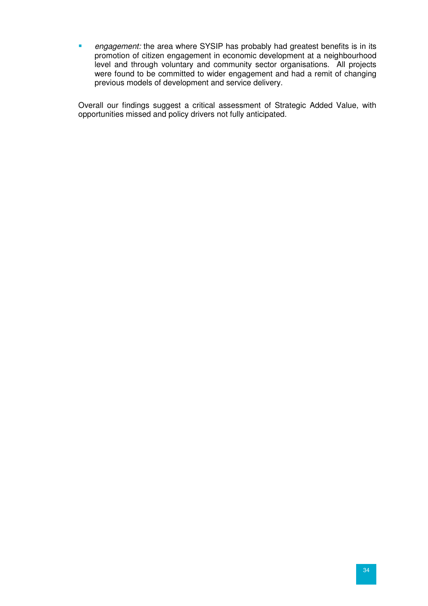**E** engagement: the area where SYSIP has probably had greatest benefits is in its promotion of citizen engagement in economic development at a neighbourhood level and through voluntary and community sector organisations. All projects were found to be committed to wider engagement and had a remit of changing previous models of development and service delivery.

Overall our findings suggest a critical assessment of Strategic Added Value, with opportunities missed and policy drivers not fully anticipated.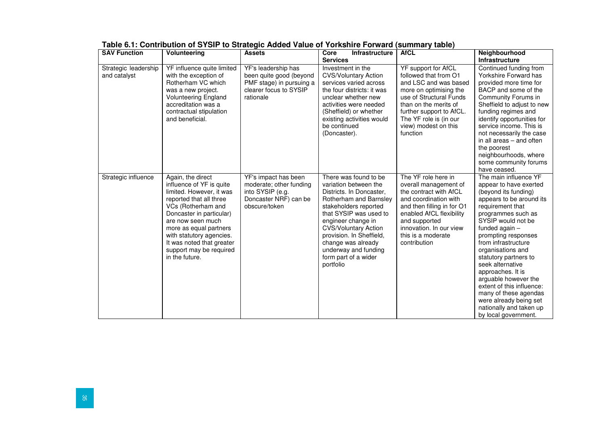| <b>SAV Function</b>                  | <b>Volunteering</b>                                                                                                                                                                                                                                                                                         | <b>Assets</b>                                                                                                     | Core<br><b>Infrastructure</b><br><b>Services</b>                                                                                                                                                                                                                                                                             | <b>AfCL</b>                                                                                                                                                                                                                                   | <b>Neighbourhood</b><br>Infrastructure                                                                                                                                                                                                                                                                                                                                                                                                                                                  |
|--------------------------------------|-------------------------------------------------------------------------------------------------------------------------------------------------------------------------------------------------------------------------------------------------------------------------------------------------------------|-------------------------------------------------------------------------------------------------------------------|------------------------------------------------------------------------------------------------------------------------------------------------------------------------------------------------------------------------------------------------------------------------------------------------------------------------------|-----------------------------------------------------------------------------------------------------------------------------------------------------------------------------------------------------------------------------------------------|-----------------------------------------------------------------------------------------------------------------------------------------------------------------------------------------------------------------------------------------------------------------------------------------------------------------------------------------------------------------------------------------------------------------------------------------------------------------------------------------|
| Strategic leadership<br>and catalyst | YF influence quite limited<br>with the exception of<br>Rotherham VC which<br>was a new project.<br><b>Volunteering England</b><br>accreditation was a<br>contractual stipulation<br>and beneficial.                                                                                                         | YF's leadership has<br>been quite good (beyond<br>PMF stage) in pursuing a<br>clearer focus to SYSIP<br>rationale | Investment in the<br><b>CVS/Voluntary Action</b><br>services varied across<br>the four districts: it was<br>unclear whether new<br>activities were needed<br>(Sheffield) or whether<br>existing activities would<br>be continued<br>(Doncaster).                                                                             | YF support for AfCL<br>followed that from O1<br>and LSC and was based<br>more on optimising the<br>use of Structural Funds<br>than on the merits of<br>further support to AfCL.<br>The YF role is (in our<br>view) modest on this<br>function | Continued funding from<br>Yorkshire Forward has<br>provided more time for<br>BACP and some of the<br>Community Forums in<br>Sheffield to adjust to new<br>funding regimes and<br>identify opportunities for<br>service income. This is<br>not necessarily the case<br>in all areas – and often<br>the poorest<br>neighbourhoods, where<br>some community forums<br>have ceased.                                                                                                         |
| Strategic influence                  | Again, the direct<br>influence of YF is quite<br>limited. However, it was<br>reported that all three<br>VCs (Rotherham and<br>Doncaster in particular)<br>are now seen much<br>more as equal partners<br>with statutory agencies.<br>It was noted that greater<br>support may be required<br>in the future. | YF's impact has been<br>moderate; other funding<br>into SYSIP (e.g.<br>Doncaster NRF) can be<br>obscure/token     | There was found to be.<br>variation between the<br>Districts. In Doncaster,<br>Rotherham and Barnsley<br>stakeholders reported<br>that SYSIP was used to<br>engineer change in<br><b>CVS/Voluntary Action</b><br>provision. In Sheffield,<br>change was already<br>underway and funding<br>form part of a wider<br>portfolio | The YF role here in<br>overall management of<br>the contract with AfCL<br>and coordination with<br>and then filling in for O1<br>enabled AfCL flexibility<br>and supported<br>innovation. In our view<br>this is a moderate<br>contribution   | The main influence YF<br>appear to have exerted<br>(beyond its funding)<br>appears to be around its<br>requirement that<br>programmes such as<br>SYSIP would not be<br>funded again $-$<br>prompting responses<br>from infrastructure<br>organisations and<br>statutory partners to<br>seek alternative<br>approaches. It is<br>arguable however the<br>extent of this influence:<br>many of these agendas<br>were already being set<br>nationally and taken up<br>by local government. |

**Table 6.1: Contribution of SYSIP to Strategic Added Value of Yorkshire Forward (summary table)**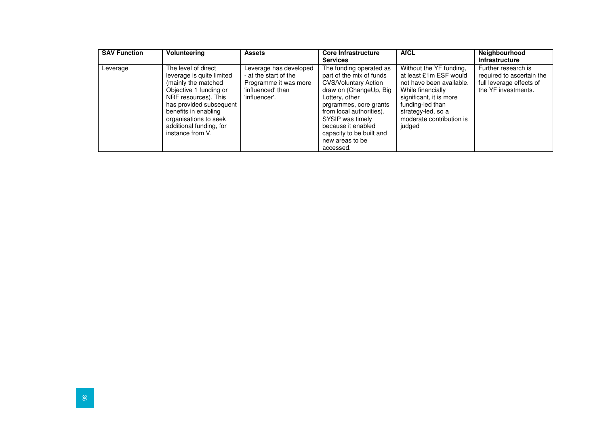| <b>SAV Function</b> | Volunteering                                                                                                                                                                                                                                         | <b>Assets</b>                                                                                                  | <b>Core Infrastructure</b><br><b>Services</b>                                                                                                                                                                                                                                              | <b>AfCL</b>                                                                                                                                                                                                   | Neighbourhood<br><b>Infrastructure</b>                                                              |
|---------------------|------------------------------------------------------------------------------------------------------------------------------------------------------------------------------------------------------------------------------------------------------|----------------------------------------------------------------------------------------------------------------|--------------------------------------------------------------------------------------------------------------------------------------------------------------------------------------------------------------------------------------------------------------------------------------------|---------------------------------------------------------------------------------------------------------------------------------------------------------------------------------------------------------------|-----------------------------------------------------------------------------------------------------|
| Leverage            | The level of direct<br>leverage is quite limited<br>(mainly the matched<br>Objective 1 funding or<br>NRF resources). This<br>has provided subsequent<br>benefits in enabling<br>organisations to seek<br>additional funding, for<br>instance from V. | Leverage has developed<br>- at the start of the<br>Programme it was more<br>'influenced' than<br>'influencer'. | The funding operated as<br>part of the mix of funds<br><b>CVS/Voluntary Action</b><br>draw on (ChangeUp, Big<br>Lottery, other<br>prgrammes, core grants<br>from local authorities).<br>SYSIP was timely<br>because it enabled<br>capacity to be built and<br>new areas to be<br>accessed. | Without the YF funding,<br>at least £1m ESF would<br>not have been available.<br>While financially<br>significant, it is more<br>funding-led than<br>strategy-led, so a<br>moderate contribution is<br>judged | Further research is<br>required to ascertain the<br>full leverage effects of<br>the YF investments. |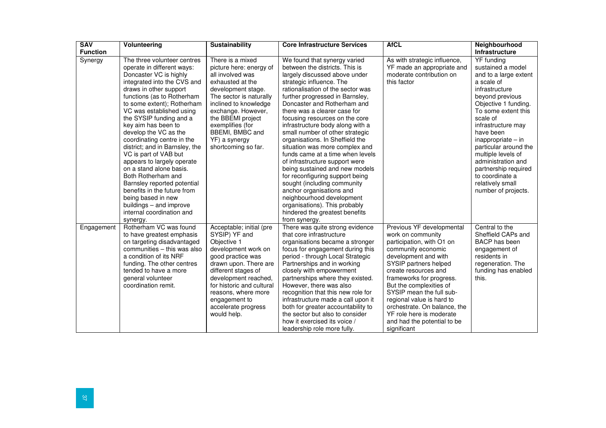| <b>SAV</b>      | <b>Volunteering</b>                                                                                                                                                                                                                                                                                                                                                                                                                                                                                                                                                                                                                             | <b>Sustainability</b>                                                                                                                                                                                                                                                                   | <b>Core Infrastructure Services</b>                                                                                                                                                                                                                                                                                                                                                                                                                                                                                                                                                                                                                                                                                                                                     | <b>AfCL</b>                                                                                                                                                                                                                                                                                                                                                                                          | <b>Neighbourhood</b>                                                                                                                                                                                                                                                                                                                                                                      |
|-----------------|-------------------------------------------------------------------------------------------------------------------------------------------------------------------------------------------------------------------------------------------------------------------------------------------------------------------------------------------------------------------------------------------------------------------------------------------------------------------------------------------------------------------------------------------------------------------------------------------------------------------------------------------------|-----------------------------------------------------------------------------------------------------------------------------------------------------------------------------------------------------------------------------------------------------------------------------------------|-------------------------------------------------------------------------------------------------------------------------------------------------------------------------------------------------------------------------------------------------------------------------------------------------------------------------------------------------------------------------------------------------------------------------------------------------------------------------------------------------------------------------------------------------------------------------------------------------------------------------------------------------------------------------------------------------------------------------------------------------------------------------|------------------------------------------------------------------------------------------------------------------------------------------------------------------------------------------------------------------------------------------------------------------------------------------------------------------------------------------------------------------------------------------------------|-------------------------------------------------------------------------------------------------------------------------------------------------------------------------------------------------------------------------------------------------------------------------------------------------------------------------------------------------------------------------------------------|
| <b>Function</b> |                                                                                                                                                                                                                                                                                                                                                                                                                                                                                                                                                                                                                                                 |                                                                                                                                                                                                                                                                                         |                                                                                                                                                                                                                                                                                                                                                                                                                                                                                                                                                                                                                                                                                                                                                                         |                                                                                                                                                                                                                                                                                                                                                                                                      | Infrastructure                                                                                                                                                                                                                                                                                                                                                                            |
| Synergy         | The three volunteer centres<br>operate in different ways:<br>Doncaster VC is highly<br>integrated into the CVS and<br>draws in other support<br>functions (as to Rotherham<br>to some extent); Rotherham<br>VC was established using<br>the SYSIP funding and a<br>key aim has been to<br>develop the VC as the<br>coordinating centre in the<br>district; and in Barnsley, the<br>VC is part of VAB but<br>appears to largely operate<br>on a stand alone basis.<br>Both Rotherham and<br>Barnsley reported potential<br>benefits in the future from<br>being based in new<br>buildings - and improve<br>internal coordination and<br>synergy. | There is a mixed<br>picture here: energy of<br>all involved was<br>exhausted at the<br>development stage.<br>The sector is naturally<br>inclined to knowledge<br>exchange. However,<br>the BBEMI project<br>exemplifies (for<br>BBEMI, BMBC and<br>YF) a synergy<br>shortcoming so far. | We found that synergy varied<br>between the districts. This is<br>largely discussed above under<br>strategic influence. The<br>rationalisation of the sector was<br>further progressed in Barnsley,<br>Doncaster and Rotherham and<br>there was a clearer case for<br>focusing resources on the core<br>infrastructure body along with a<br>small number of other strategic<br>organisations. In Sheffield the<br>situation was more complex and<br>funds came at a time when levels<br>of infrastructure support were<br>being sustained and new models<br>for reconfiguring support being<br>sought (including community<br>anchor organisations and<br>neighbourhood development<br>organisations). This probably<br>hindered the greatest benefits<br>from synergy. | As with strategic influence,<br>YF made an appropriate and<br>moderate contribution on<br>this factor                                                                                                                                                                                                                                                                                                | YF funding<br>sustained a model<br>and to a large extent<br>a scale of<br>infrastructure<br>beyond previous<br>Objective 1 funding.<br>To some extent this<br>scale of<br>infrastructure may<br>have been<br>$in\text{approx}$<br>particular around the<br>multiple levels of<br>administration and<br>partnership required<br>to coordinate a<br>relatively small<br>number of projects. |
| Engagement      | Rotherham VC was found<br>to have greatest emphasis<br>on targeting disadvantaged<br>communities - this was also<br>a condition of its NRF<br>funding. The other centres<br>tended to have a more<br>general volunteer<br>coordination remit.                                                                                                                                                                                                                                                                                                                                                                                                   | Acceptable; initial (pre<br>SYSIP) YF and<br>Objective 1<br>development work on<br>good practice was<br>drawn upon. There are<br>different stages of<br>development reached,<br>for historic and cultural<br>reasons, where more<br>engagement to<br>accelerate progress<br>would help. | There was quite strong evidence<br>that core infrastructure<br>organisations became a stronger<br>focus for engagement during this<br>period - through Local Strategic<br>Partnerships and in working<br>closely with empowerment<br>partnerships where they existed.<br>However, there was also<br>recognition that this new role for<br>infrastructure made a call upon it<br>both for greater accountability to<br>the sector but also to consider<br>how it exercised its voice /<br>leadership role more fully.                                                                                                                                                                                                                                                    | Previous YF developmental<br>work on community<br>participation, with O1 on<br>community economic<br>development and with<br>SYSIP partners helped<br>create resources and<br>frameworks for progress.<br>But the complexities of<br>SYSIP mean the full sub-<br>regional value is hard to<br>orchestrate. On balance, the<br>YF role here is moderate<br>and had the potential to be<br>significant | Central to the<br>Sheffield CAPs and<br><b>BACP</b> has been<br>engagement of<br>residents in<br>regeneration. The<br>funding has enabled<br>this.                                                                                                                                                                                                                                        |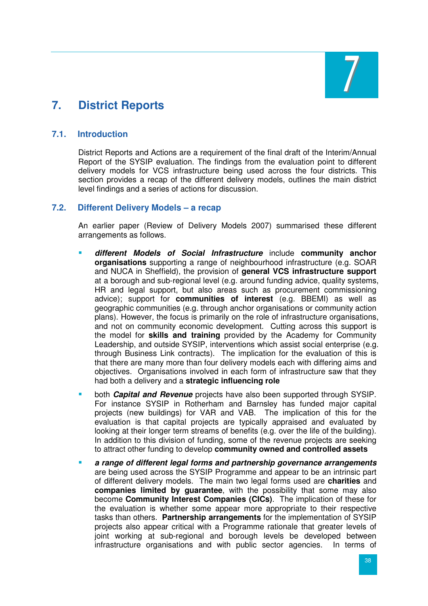

# **7. District Reports**

### **7.1. Introduction**

District Reports and Actions are a requirement of the final draft of the Interim/Annual Report of the SYSIP evaluation. The findings from the evaluation point to different delivery models for VCS infrastructure being used across the four districts. This section provides a recap of the different delivery models, outlines the main district level findings and a series of actions for discussion.

#### **7.2. Different Delivery Models – a recap**

An earlier paper (Review of Delivery Models 2007) summarised these different arrangements as follows.

- **different Models of Social Infrastructure** include **community anchor organisations** supporting a range of neighbourhood infrastructure (e.g. SOAR and NUCA in Sheffield), the provision of **general VCS infrastructure support** at a borough and sub-regional level (e.g. around funding advice, quality systems, HR and legal support, but also areas such as procurement commissioning advice); support for **communities of interest** (e.g. BBEMI) as well as geographic communities (e.g. through anchor organisations or community action plans). However, the focus is primarily on the role of infrastructure organisations, and not on community economic development. Cutting across this support is the model for **skills and training** provided by the Academy for Community Leadership, and outside SYSIP, interventions which assist social enterprise (e.g. through Business Link contracts). The implication for the evaluation of this is that there are many more than four delivery models each with differing aims and objectives. Organisations involved in each form of infrastructure saw that they had both a delivery and a **strategic influencing role**
- both **Capital and Revenue** projects have also been supported through SYSIP. For instance SYSIP in Rotherham and Barnsley has funded major capital projects (new buildings) for VAR and VAB. The implication of this for the evaluation is that capital projects are typically appraised and evaluated by looking at their longer term streams of benefits (e.g. over the life of the building). In addition to this division of funding, some of the revenue projects are seeking to attract other funding to develop **community owned and controlled assets**
- **a range of different legal forms and partnership governance arrangements** are being used across the SYSIP Programme and appear to be an intrinsic part of different delivery models. The main two legal forms used are **charities** and **companies limited by guarantee**, with the possibility that some may also become **Community Interest Companies (CICs)**. The implication of these for the evaluation is whether some appear more appropriate to their respective tasks than others. **Partnership arrangements** for the implementation of SYSIP projects also appear critical with a Programme rationale that greater levels of joint working at sub-regional and borough levels be developed between infrastructure organisations and with public sector agencies. In terms of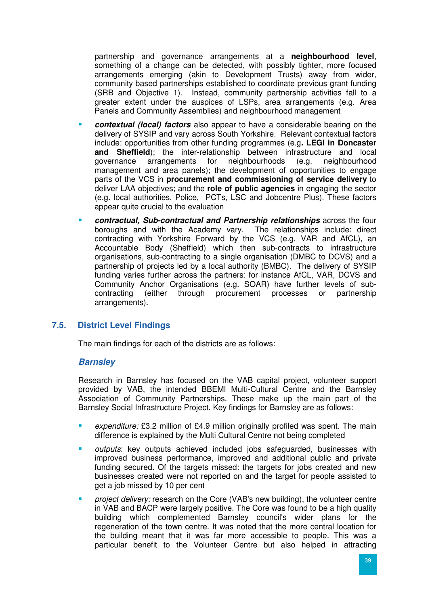partnership and governance arrangements at a **neighbourhood level**, something of a change can be detected, with possibly tighter, more focused arrangements emerging (akin to Development Trusts) away from wider, community based partnerships established to coordinate previous grant funding (SRB and Objective 1). Instead, community partnership activities fall to a greater extent under the auspices of LSPs, area arrangements (e.g. Area Panels and Community Assemblies) and neighbourhood management

- **contextual (local) factors** also appear to have a considerable bearing on the delivery of SYSIP and vary across South Yorkshire. Relevant contextual factors include: opportunities from other funding programmes (e.g**. LEGI in Doncaster and Sheffield**); the inter-relationship between infrastructure and local governance arrangements for neighbourhoods (e.g. neighbourhood governance arrangements for neighbourhoods (e.g. neighbourhood management and area panels); the development of opportunities to engage parts of the VCS in **procurement and commissioning of service delivery** to deliver LAA objectives; and the **role of public agencies** in engaging the sector (e.g. local authorities, Police, PCTs, LSC and Jobcentre Plus). These factors appear quite crucial to the evaluation
- **contractual, Sub-contractual and Partnership relationships** across the four boroughs and with the Academy vary. The relationships include: direct contracting with Yorkshire Forward by the VCS (e.g. VAR and AfCL), an Accountable Body (Sheffield) which then sub-contracts to infrastructure organisations, sub-contracting to a single organisation (DMBC to DCVS) and a partnership of projects led by a local authority (BMBC). The delivery of SYSIP funding varies further across the partners: for instance AfCL, VAR, DCVS and Community Anchor Organisations (e.g. SOAR) have further levels of subcontracting (either through procurement processes or partnership arrangements).

# **7.5. District Level Findings**

The main findings for each of the districts are as follows:

#### **Barnsley**

Research in Barnsley has focused on the VAB capital project, volunteer support provided by VAB, the intended BBEMI Multi-Cultural Centre and the Barnsley Association of Community Partnerships. These make up the main part of the Barnsley Social Infrastructure Project. Key findings for Barnsley are as follows:

- expenditure: £3.2 million of £4.9 million originally profiled was spent. The main difference is explained by the Multi Cultural Centre not being completed
- outputs: key outputs achieved included jobs safeguarded, businesses with improved business performance, improved and additional public and private funding secured. Of the targets missed: the targets for jobs created and new businesses created were not reported on and the target for people assisted to get a job missed by 10 per cent
- project delivery: research on the Core (VAB's new building), the volunteer centre in VAB and BACP were largely positive. The Core was found to be a high quality building which complemented Barnsley council's wider plans for the regeneration of the town centre. It was noted that the more central location for the building meant that it was far more accessible to people. This was a particular benefit to the Volunteer Centre but also helped in attracting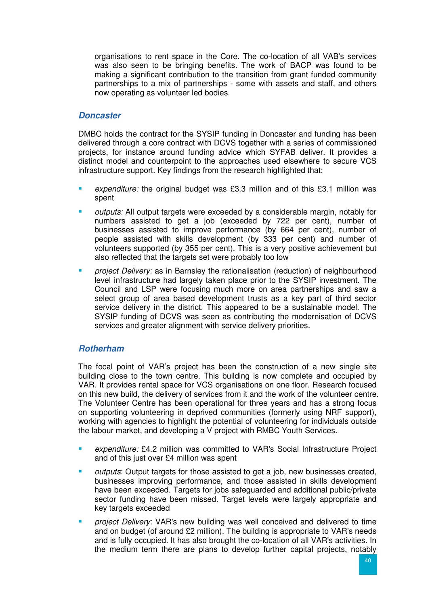organisations to rent space in the Core. The co-location of all VAB's services was also seen to be bringing benefits. The work of BACP was found to be making a significant contribution to the transition from grant funded community partnerships to a mix of partnerships - some with assets and staff, and others now operating as volunteer led bodies.

#### **Doncaster**

DMBC holds the contract for the SYSIP funding in Doncaster and funding has been delivered through a core contract with DCVS together with a series of commissioned projects, for instance around funding advice which SYFAB deliver. It provides a distinct model and counterpoint to the approaches used elsewhere to secure VCS infrastructure support. Key findings from the research highlighted that:

- expenditure: the original budget was £3.3 million and of this £3.1 million was spent
- outputs: All output targets were exceeded by a considerable margin, notably for numbers assisted to get a job (exceeded by 722 per cent), number of businesses assisted to improve performance (by 664 per cent), number of people assisted with skills development (by 333 per cent) and number of volunteers supported (by 355 per cent). This is a very positive achievement but also reflected that the targets set were probably too low
- project Delivery: as in Barnsley the rationalisation (reduction) of neighbourhood level infrastructure had largely taken place prior to the SYSIP investment. The Council and LSP were focusing much more on area partnerships and saw a select group of area based development trusts as a key part of third sector service delivery in the district. This appeared to be a sustainable model. The SYSIP funding of DCVS was seen as contributing the modernisation of DCVS services and greater alignment with service delivery priorities.

# **Rotherham**

The focal point of VAR's project has been the construction of a new single site building close to the town centre. This building is now complete and occupied by VAR. It provides rental space for VCS organisations on one floor. Research focused on this new build, the delivery of services from it and the work of the volunteer centre. The Volunteer Centre has been operational for three years and has a strong focus on supporting volunteering in deprived communities (formerly using NRF support), working with agencies to highlight the potential of volunteering for individuals outside the labour market, and developing a V project with RMBC Youth Services.

- expenditure: £4.2 million was committed to VAR's Social Infrastructure Project and of this just over £4 million was spent
- outputs: Output targets for those assisted to get a job, new businesses created, businesses improving performance, and those assisted in skills development have been exceeded. Targets for jobs safeguarded and additional public/private sector funding have been missed. Target levels were largely appropriate and key targets exceeded
- project Delivery: VAR's new building was well conceived and delivered to time and on budget (of around £2 million). The building is appropriate to VAR's needs and is fully occupied. It has also brought the co-location of all VAR's activities. In the medium term there are plans to develop further capital projects, notably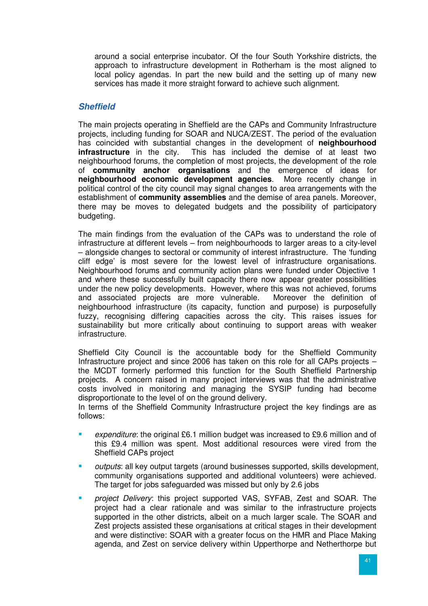around a social enterprise incubator. Of the four South Yorkshire districts, the approach to infrastructure development in Rotherham is the most aligned to local policy agendas. In part the new build and the setting up of many new services has made it more straight forward to achieve such alignment.

### **Sheffield**

The main projects operating in Sheffield are the CAPs and Community Infrastructure projects, including funding for SOAR and NUCA/ZEST. The period of the evaluation has coincided with substantial changes in the development of **neighbourhood infrastructure** in the city. This has included the demise of at least two neighbourhood forums, the completion of most projects, the development of the role of **community anchor organisations** and the emergence of ideas for **neighbourhood economic development agencies**. More recently change in political control of the city council may signal changes to area arrangements with the establishment of **community assemblies** and the demise of area panels. Moreover, there may be moves to delegated budgets and the possibility of participatory budgeting.

The main findings from the evaluation of the CAPs was to understand the role of infrastructure at different levels – from neighbourhoods to larger areas to a city-level – alongside changes to sectoral or community of interest infrastructure. The 'funding cliff edge' is most severe for the lowest level of infrastructure organisations. Neighbourhood forums and community action plans were funded under Objective 1 and where these successfully built capacity there now appear greater possibilities under the new policy developments. However, where this was not achieved, forums and associated projects are more vulnerable. Moreover the definition of neighbourhood infrastructure (its capacity, function and purpose) is purposefully fuzzy, recognising differing capacities across the city. This raises issues for sustainability but more critically about continuing to support areas with weaker infrastructure.

Sheffield City Council is the accountable body for the Sheffield Community Infrastructure project and since 2006 has taken on this role for all CAPs projects – the MCDT formerly performed this function for the South Sheffield Partnership projects. A concern raised in many project interviews was that the administrative costs involved in monitoring and managing the SYSIP funding had become disproportionate to the level of on the ground delivery.

In terms of the Sheffield Community Infrastructure project the key findings are as follows:

- expenditure: the original £6.1 million budget was increased to £9.6 million and of this £9.4 million was spent. Most additional resources were vired from the Sheffield CAPs project
- outputs: all key output targets (around businesses supported, skills development, community organisations supported and additional volunteers) were achieved. The target for jobs safeguarded was missed but only by 2.6 jobs
- project Delivery: this project supported VAS, SYFAB, Zest and SOAR. The project had a clear rationale and was similar to the infrastructure projects supported in the other districts, albeit on a much larger scale. The SOAR and Zest projects assisted these organisations at critical stages in their development and were distinctive: SOAR with a greater focus on the HMR and Place Making agenda, and Zest on service delivery within Upperthorpe and Netherthorpe but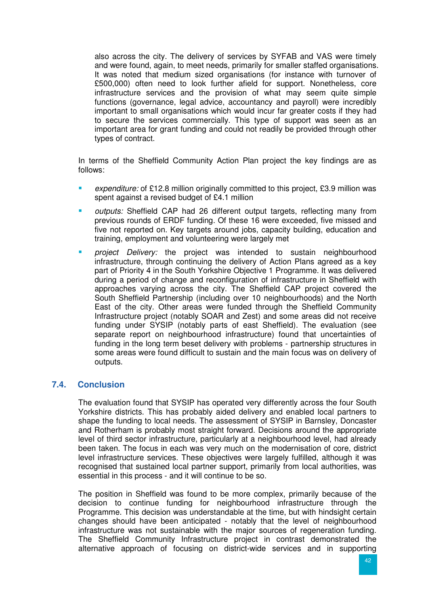also across the city. The delivery of services by SYFAB and VAS were timely and were found, again, to meet needs, primarily for smaller staffed organisations. It was noted that medium sized organisations (for instance with turnover of £500,000) often need to look further afield for support. Nonetheless, core infrastructure services and the provision of what may seem quite simple functions (governance, legal advice, accountancy and payroll) were incredibly important to small organisations which would incur far greater costs if they had to secure the services commercially. This type of support was seen as an important area for grant funding and could not readily be provided through other types of contract.

In terms of the Sheffield Community Action Plan project the key findings are as follows:

- expenditure: of £12.8 million originally committed to this project, £3.9 million was spent against a revised budget of £4.1 million
- outputs: Sheffield CAP had 26 different output targets, reflecting many from previous rounds of ERDF funding. Of these 16 were exceeded, five missed and five not reported on. Key targets around jobs, capacity building, education and training, employment and volunteering were largely met
- project Delivery: the project was intended to sustain neighbourhood infrastructure, through continuing the delivery of Action Plans agreed as a key part of Priority 4 in the South Yorkshire Objective 1 Programme. It was delivered during a period of change and reconfiguration of infrastructure in Sheffield with approaches varying across the city. The Sheffield CAP project covered the South Sheffield Partnership (including over 10 neighbourhoods) and the North East of the city. Other areas were funded through the Sheffield Community Infrastructure project (notably SOAR and Zest) and some areas did not receive funding under SYSIP (notably parts of east Sheffield). The evaluation (see separate report on neighbourhood infrastructure) found that uncertainties of funding in the long term beset delivery with problems - partnership structures in some areas were found difficult to sustain and the main focus was on delivery of outputs.

# **7.4. Conclusion**

The evaluation found that SYSIP has operated very differently across the four South Yorkshire districts. This has probably aided delivery and enabled local partners to shape the funding to local needs. The assessment of SYSIP in Barnsley, Doncaster and Rotherham is probably most straight forward. Decisions around the appropriate level of third sector infrastructure, particularly at a neighbourhood level, had already been taken. The focus in each was very much on the modernisation of core, district level infrastructure services. These objectives were largely fulfilled, although it was recognised that sustained local partner support, primarily from local authorities, was essential in this process - and it will continue to be so.

The position in Sheffield was found to be more complex, primarily because of the decision to continue funding for neighbourhood infrastructure through the Programme. This decision was understandable at the time, but with hindsight certain changes should have been anticipated - notably that the level of neighbourhood infrastructure was not sustainable with the major sources of regeneration funding. The Sheffield Community Infrastructure project in contrast demonstrated the alternative approach of focusing on district-wide services and in supporting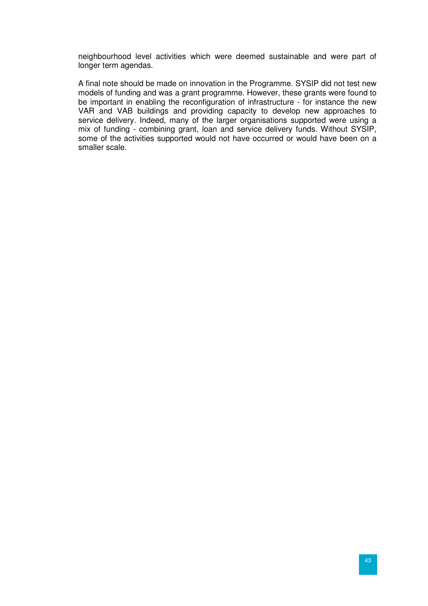neighbourhood level activities which were deemed sustainable and were part of longer term agendas.

A final note should be made on innovation in the Programme. SYSIP did not test new models of funding and was a grant programme. However, these grants were found to be important in enabling the reconfiguration of infrastructure - for instance the new VAR and VAB buildings and providing capacity to develop new approaches to service delivery. Indeed, many of the larger organisations supported were using a mix of funding - combining grant, loan and service delivery funds. Without SYSIP, some of the activities supported would not have occurred or would have been on a smaller scale.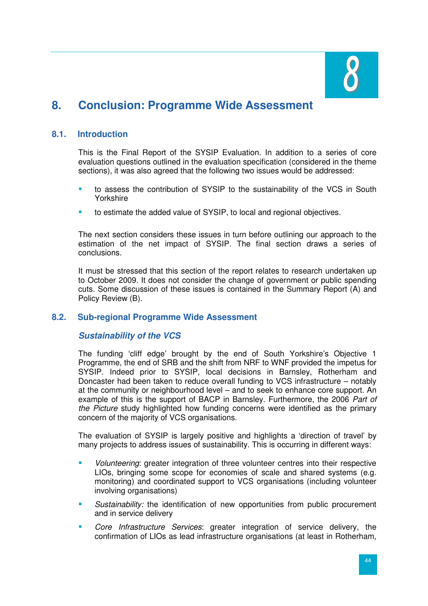

# **8. Conclusion: Programme Wide Assessment**

# **8.1. Introduction**

This is the Final Report of the SYSIP Evaluation. In addition to a series of core evaluation questions outlined in the evaluation specification (considered in the theme sections), it was also agreed that the following two issues would be addressed:

- to assess the contribution of SYSIP to the sustainability of the VCS in South Yorkshire
- to estimate the added value of SYSIP, to local and regional objectives.

The next section considers these issues in turn before outlining our approach to the estimation of the net impact of SYSIP. The final section draws a series of conclusions.

It must be stressed that this section of the report relates to research undertaken up to October 2009. It does not consider the change of government or public spending cuts. Some discussion of these issues is contained in the Summary Report (A) and Policy Review (B).

#### **8.2. Sub-regional Programme Wide Assessment**

#### **Sustainability of the VCS**

The funding 'cliff edge' brought by the end of South Yorkshire's Objective 1 Programme, the end of SRB and the shift from NRF to WNF provided the impetus for SYSIP. Indeed prior to SYSIP, local decisions in Barnsley, Rotherham and Doncaster had been taken to reduce overall funding to VCS infrastructure – notably at the community or neighbourhood level – and to seek to enhance core support. An example of this is the support of BACP in Barnsley. Furthermore, the 2006 Part of the Picture study highlighted how funding concerns were identified as the primary concern of the majority of VCS organisations.

The evaluation of SYSIP is largely positive and highlights a 'direction of travel' by many projects to address issues of sustainability. This is occurring in different ways:

- Volunteering: greater integration of three volunteer centres into their respective LIOs, bringing some scope for economies of scale and shared systems (e.g. monitoring) and coordinated support to VCS organisations (including volunteer involving organisations)
- Sustainability: the identification of new opportunities from public procurement and in service delivery
- Core Infrastructure Services: greater integration of service delivery, the confirmation of LIOs as lead infrastructure organisations (at least in Rotherham,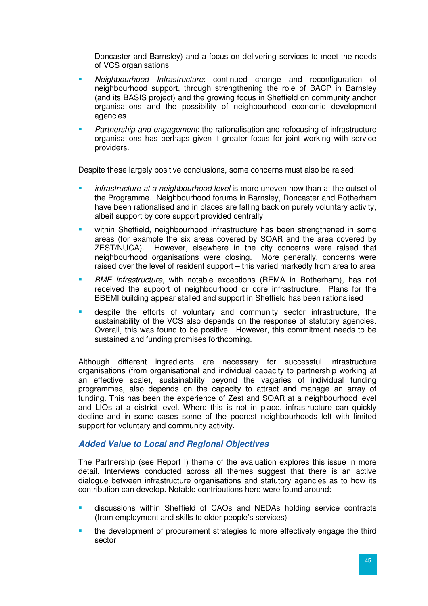Doncaster and Barnsley) and a focus on delivering services to meet the needs of VCS organisations

- Neighbourhood Infrastructure: continued change and reconfiguration of neighbourhood support, through strengthening the role of BACP in Barnsley (and its BASIS project) and the growing focus in Sheffield on community anchor organisations and the possibility of neighbourhood economic development agencies
- Partnership and engagement: the rationalisation and refocusing of infrastructure organisations has perhaps given it greater focus for joint working with service providers.

Despite these largely positive conclusions, some concerns must also be raised:

- infrastructure at a neighbourhood level is more uneven now than at the outset of the Programme. Neighbourhood forums in Barnsley, Doncaster and Rotherham have been rationalised and in places are falling back on purely voluntary activity, albeit support by core support provided centrally
- within Sheffield, neighbourhood infrastructure has been strengthened in some areas (for example the six areas covered by SOAR and the area covered by ZEST/NUCA). However, elsewhere in the city concerns were raised that neighbourhood organisations were closing. More generally, concerns were raised over the level of resident support – this varied markedly from area to area
- BME infrastructure, with notable exceptions (REMA in Rotherham), has not received the support of neighbourhood or core infrastructure. Plans for the BBEMI building appear stalled and support in Sheffield has been rationalised
- despite the efforts of voluntary and community sector infrastructure, the sustainability of the VCS also depends on the response of statutory agencies. Overall, this was found to be positive. However, this commitment needs to be sustained and funding promises forthcoming.

Although different ingredients are necessary for successful infrastructure organisations (from organisational and individual capacity to partnership working at an effective scale), sustainability beyond the vagaries of individual funding programmes, also depends on the capacity to attract and manage an array of funding. This has been the experience of Zest and SOAR at a neighbourhood level and LIOs at a district level. Where this is not in place, infrastructure can quickly decline and in some cases some of the poorest neighbourhoods left with limited support for voluntary and community activity.

# **Added Value to Local and Regional Objectives**

The Partnership (see Report I) theme of the evaluation explores this issue in more detail. Interviews conducted across all themes suggest that there is an active dialogue between infrastructure organisations and statutory agencies as to how its contribution can develop. Notable contributions here were found around:

- discussions within Sheffield of CAOs and NEDAs holding service contracts (from employment and skills to older people's services)
- the development of procurement strategies to more effectively engage the third sector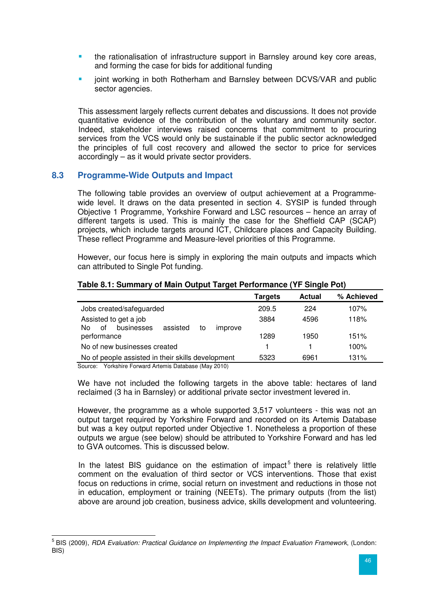- the rationalisation of infrastructure support in Barnsley around key core areas, and forming the case for bids for additional funding
- joint working in both Rotherham and Barnsley between DCVS/VAR and public sector agencies.

This assessment largely reflects current debates and discussions. It does not provide quantitative evidence of the contribution of the voluntary and community sector. Indeed, stakeholder interviews raised concerns that commitment to procuring services from the VCS would only be sustainable if the public sector acknowledged the principles of full cost recovery and allowed the sector to price for services accordingly – as it would private sector providers.

### **8.3 Programme-Wide Outputs and Impact**

The following table provides an overview of output achievement at a Programmewide level. It draws on the data presented in section 4. SYSIP is funded through Objective 1 Programme, Yorkshire Forward and LSC resources – hence an array of different targets is used. This is mainly the case for the Sheffield CAP (SCAP) projects, which include targets around ICT, Childcare places and Capacity Building. These reflect Programme and Measure-level priorities of this Programme.

However, our focus here is simply in exploring the main outputs and impacts which can attributed to Single Pot funding.

|                                                                              | Targets | <b>Actual</b> | % Achieved |
|------------------------------------------------------------------------------|---------|---------------|------------|
| Jobs created/safeguarded                                                     | 209.5   | 224           | 107%       |
| Assisted to get a job<br>businesses<br>assisted<br>of<br>to<br>N٥<br>improve | 3884    | 4596          | 118%       |
| performance                                                                  | 1289    | 1950          | 151%       |
| No of new businesses created                                                 |         |               | 100%       |
| No of people assisted in their skills development                            | 5323    | 6961          | 131%       |

#### **Table 8.1: Summary of Main Output Target Performance (YF Single Pot)**

Source: Yorkshire Forward Artemis Database (May 2010)

We have not included the following targets in the above table: hectares of land reclaimed (3 ha in Barnsley) or additional private sector investment levered in.

However, the programme as a whole supported 3,517 volunteers - this was not an output target required by Yorkshire Forward and recorded on its Artemis Database but was a key output reported under Objective 1. Nonetheless a proportion of these outputs we argue (see below) should be attributed to Yorkshire Forward and has led to GVA outcomes. This is discussed below.

In the latest BIS guidance on the estimation of impact<sup>5</sup> there is relatively little comment on the evaluation of third sector or VCS interventions. Those that exist focus on reductions in crime, social return on investment and reductions in those not in education, employment or training (NEETs). The primary outputs (from the list) above are around job creation, business advice, skills development and volunteering.

 5 BIS (2009), RDA Evaluation: Practical Guidance on Implementing the Impact Evaluation Framework, (London: BIS)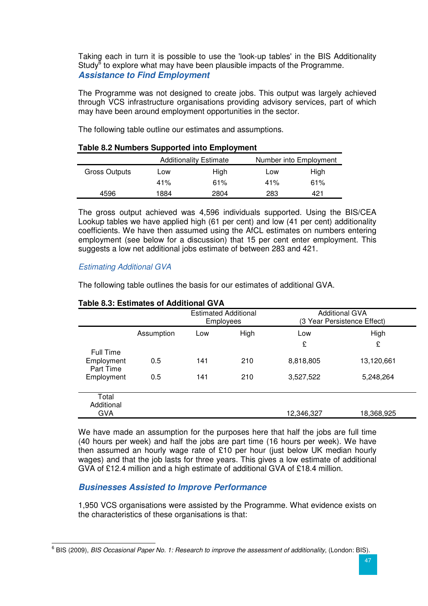Taking each in turn it is possible to use the 'look-up tables' in the BIS Additionality Study<sup>6</sup> to explore what may have been plausible impacts of the Programme. **Assistance to Find Employment** 

The Programme was not designed to create jobs. This output was largely achieved through VCS infrastructure organisations providing advisory services, part of which may have been around employment opportunities in the sector.

The following table outline our estimates and assumptions.

|                      |             | <b>Additionality Estimate</b> | Number into Employment |      |  |  |  |  |
|----------------------|-------------|-------------------------------|------------------------|------|--|--|--|--|
| <b>Gross Outputs</b> | High<br>Low |                               | Low                    | High |  |  |  |  |
|                      | 41%         | 61%                           | 41%                    | 61%  |  |  |  |  |
| 4596                 | 1884        | 2804                          | 283                    | 421  |  |  |  |  |

#### **Table 8.2 Numbers Supported into Employment**

The gross output achieved was 4,596 individuals supported. Using the BIS/CEA Lookup tables we have applied high (61 per cent) and low (41 per cent) additionality coefficients. We have then assumed using the AfCL estimates on numbers entering employment (see below for a discussion) that 15 per cent enter employment. This suggests a low net additional jobs estimate of between 283 and 421.

### Estimating Additional GVA

The following table outlines the basis for our estimates of additional GVA.

|                                             |            | <b>Estimated Additional</b><br>Employees |      | <b>Additional GVA</b><br>(3 Year Persistence Effect) |            |  |
|---------------------------------------------|------------|------------------------------------------|------|------------------------------------------------------|------------|--|
|                                             | Assumption | Low                                      | High | Low<br>£                                             | High<br>£  |  |
| <b>Full Time</b><br>Employment<br>Part Time | 0.5        | 141                                      | 210  | 8,818,805                                            | 13,120,661 |  |
| Employment                                  | 0.5        | 141                                      | 210  | 3,527,522                                            | 5,248,264  |  |
| Total<br>Additional<br><b>GVA</b>           |            |                                          |      | 12,346,327                                           | 18,368,925 |  |

### **Table 8.3: Estimates of Additional GVA**

We have made an assumption for the purposes here that half the jobs are full time (40 hours per week) and half the jobs are part time (16 hours per week). We have then assumed an hourly wage rate of £10 per hour (just below UK median hourly wages) and that the job lasts for three years. This gives a low estimate of additional GVA of £12.4 million and a high estimate of additional GVA of £18.4 million.

# **Businesses Assisted to Improve Performance**

1,950 VCS organisations were assisted by the Programme. What evidence exists on the characteristics of these organisations is that:

 6 BIS (2009), BIS Occasional Paper No. 1: Research to improve the assessment of additionality, (London: BIS).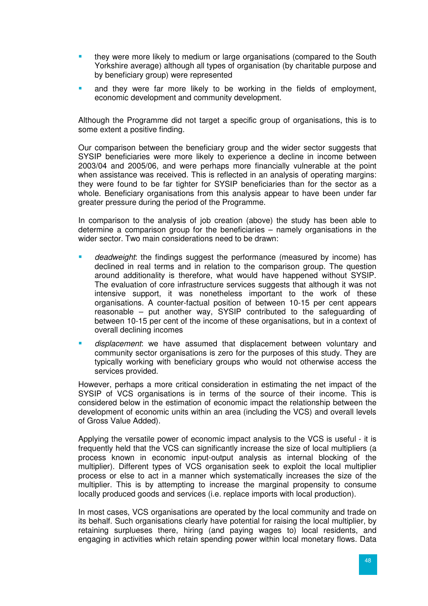- they were more likely to medium or large organisations (compared to the South Yorkshire average) although all types of organisation (by charitable purpose and by beneficiary group) were represented
- and they were far more likely to be working in the fields of employment, economic development and community development.

Although the Programme did not target a specific group of organisations, this is to some extent a positive finding.

Our comparison between the beneficiary group and the wider sector suggests that SYSIP beneficiaries were more likely to experience a decline in income between 2003/04 and 2005/06, and were perhaps more financially vulnerable at the point when assistance was received. This is reflected in an analysis of operating margins: they were found to be far tighter for SYSIP beneficiaries than for the sector as a whole. Beneficiary organisations from this analysis appear to have been under far greater pressure during the period of the Programme.

In comparison to the analysis of job creation (above) the study has been able to determine a comparison group for the beneficiaries – namely organisations in the wider sector. Two main considerations need to be drawn:

- deadweight: the findings suggest the performance (measured by income) has declined in real terms and in relation to the comparison group. The question around additionality is therefore, what would have happened without SYSIP. The evaluation of core infrastructure services suggests that although it was not intensive support, it was nonetheless important to the work of these organisations. A counter-factual position of between 10-15 per cent appears reasonable – put another way, SYSIP contributed to the safeguarding of between 10-15 per cent of the income of these organisations, but in a context of overall declining incomes
- displacement: we have assumed that displacement between voluntary and community sector organisations is zero for the purposes of this study. They are typically working with beneficiary groups who would not otherwise access the services provided.

However, perhaps a more critical consideration in estimating the net impact of the SYSIP of VCS organisations is in terms of the source of their income. This is considered below in the estimation of economic impact the relationship between the development of economic units within an area (including the VCS) and overall levels of Gross Value Added).

Applying the versatile power of economic impact analysis to the VCS is useful - it is frequently held that the VCS can significantly increase the size of local multipliers (a process known in economic input-output analysis as internal blocking of the multiplier). Different types of VCS organisation seek to exploit the local multiplier process or else to act in a manner which systematically increases the size of the multiplier. This is by attempting to increase the marginal propensity to consume locally produced goods and services (i.e. replace imports with local production).

In most cases, VCS organisations are operated by the local community and trade on its behalf. Such organisations clearly have potential for raising the local multiplier, by retaining surplueses there, hiring (and paying wages to) local residents, and engaging in activities which retain spending power within local monetary flows. Data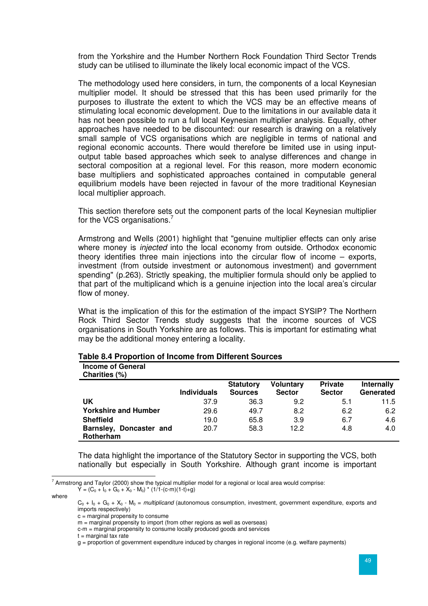from the Yorkshire and the Humber Northern Rock Foundation Third Sector Trends study can be utilised to illuminate the likely local economic impact of the VCS.

The methodology used here considers, in turn, the components of a local Keynesian multiplier model. It should be stressed that this has been used primarily for the purposes to illustrate the extent to which the VCS may be an effective means of stimulating local economic development. Due to the limitations in our available data it has not been possible to run a full local Keynesian multiplier analysis. Equally, other approaches have needed to be discounted: our research is drawing on a relatively small sample of VCS organisations which are negligible in terms of national and regional economic accounts. There would therefore be limited use in using inputoutput table based approaches which seek to analyse differences and change in sectoral composition at a regional level. For this reason, more modern economic base multipliers and sophisticated approaches contained in computable general equilibrium models have been rejected in favour of the more traditional Keynesian local multiplier approach.

This section therefore sets out the component parts of the local Keynesian multiplier for the VCS organisations.<sup>7</sup>

Armstrong and Wells (2001) highlight that "genuine multiplier effects can only arise where money is *injected* into the local economy from outside. Orthodox economic theory identifies three main injections into the circular flow of income – exports, investment (from outside investment or autonomous investment) and government spending" (p.263). Strictly speaking, the multiplier formula should only be applied to that part of the multiplicand which is a genuine injection into the local area's circular flow of money.

What is the implication of this for the estimation of the impact SYSIP? The Northern Rock Third Sector Trends study suggests that the income sources of VCS organisations in South Yorkshire are as follows. This is important for estimating what may be the additional money entering a locality.

| <b>Income of General</b><br>Charities (%)   |                    |                                    |                                   |                                 |                                |
|---------------------------------------------|--------------------|------------------------------------|-----------------------------------|---------------------------------|--------------------------------|
|                                             | <b>Individuals</b> | <b>Statutory</b><br><b>Sources</b> | <b>Voluntary</b><br><b>Sector</b> | <b>Private</b><br><b>Sector</b> | <b>Internally</b><br>Generated |
| UK                                          | 37.9               | 36.3                               | 9.2                               | 5.1                             | 11.5                           |
| <b>Yorkshire and Humber</b>                 | 29.6               | 49.7                               | 8.2                               | 6.2                             | 6.2                            |
| <b>Sheffield</b>                            | 19.0               | 65.8                               | 3.9                               | 6.7                             | 4.6                            |
| Barnsley, Doncaster and<br><b>Rotherham</b> | 20.7               | 58.3                               | 12.2                              | 4.8                             | 4.0                            |

#### **Table 8.4 Proportion of Income from Different Sources**

The data highlight the importance of the Statutory Sector in supporting the VCS, both nationally but especially in South Yorkshire. Although grant income is important

where

 $t =$  marginal tax rate

 7 Armstrong and Taylor (2000) show the typical multiplier model for a regional or local area would comprise:  $Y = (C_0 + I_0 + G_0 + X_0 - M_0) * (1/1-(c-m)(1-t)+g)$ 

 $C_0$  +  $I_0$  +  $G_0$  +  $X_0$  -  $M_0$  = *multiplicand* (autonomous consumption, investment, government expenditure, exports and imports respectively)

c = marginal propensity to consume

 $m =$  marginal propensity to import (from other regions as well as overseas)

c-m = marginal propensity to consume locally produced goods and services

 $g =$  proportion of government expenditure induced by changes in regional income (e.g. welfare payments)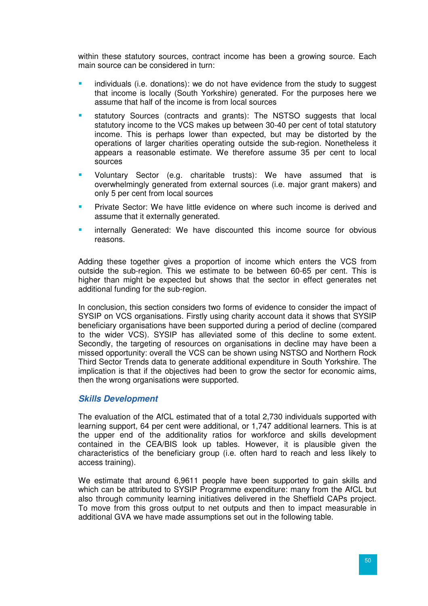within these statutory sources, contract income has been a growing source. Each main source can be considered in turn:

- individuals (i.e. donations): we do not have evidence from the study to suggest that income is locally (South Yorkshire) generated. For the purposes here we assume that half of the income is from local sources
- statutory Sources (contracts and grants): The NSTSO suggests that local statutory income to the VCS makes up between 30-40 per cent of total statutory income. This is perhaps lower than expected, but may be distorted by the operations of larger charities operating outside the sub-region. Nonetheless it appears a reasonable estimate. We therefore assume 35 per cent to local sources
- Voluntary Sector (e.g. charitable trusts): We have assumed that is overwhelmingly generated from external sources (i.e. major grant makers) and only 5 per cent from local sources
- Private Sector: We have little evidence on where such income is derived and assume that it externally generated.
- internally Generated: We have discounted this income source for obvious reasons.

Adding these together gives a proportion of income which enters the VCS from outside the sub-region. This we estimate to be between 60-65 per cent. This is higher than might be expected but shows that the sector in effect generates net additional funding for the sub-region.

In conclusion, this section considers two forms of evidence to consider the impact of SYSIP on VCS organisations. Firstly using charity account data it shows that SYSIP beneficiary organisations have been supported during a period of decline (compared to the wider VCS). SYSIP has alleviated some of this decline to some extent. Secondly, the targeting of resources on organisations in decline may have been a missed opportunity: overall the VCS can be shown using NSTSO and Northern Rock Third Sector Trends data to generate additional expenditure in South Yorkshire. The implication is that if the objectives had been to grow the sector for economic aims, then the wrong organisations were supported.

#### **Skills Development**

The evaluation of the AfCL estimated that of a total 2,730 individuals supported with learning support, 64 per cent were additional, or 1,747 additional learners. This is at the upper end of the additionality ratios for workforce and skills development contained in the CEA/BIS look up tables. However, it is plausible given the characteristics of the beneficiary group (i.e. often hard to reach and less likely to access training).

We estimate that around 6,9611 people have been supported to gain skills and which can be attributed to SYSIP Programme expenditure: many from the AfCL but also through community learning initiatives delivered in the Sheffield CAPs project. To move from this gross output to net outputs and then to impact measurable in additional GVA we have made assumptions set out in the following table.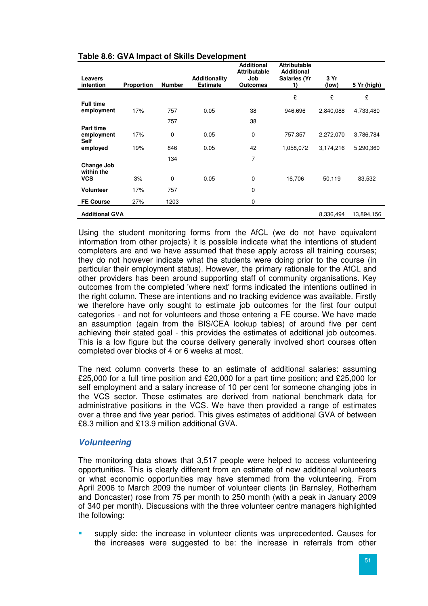| Leavers<br>intention           | <b>Proportion</b> | <b>Number</b> | Additionality<br><b>Estimate</b> | <b>Additional</b><br><b>Attributable</b><br>Job<br><b>Outcomes</b> | <b>Attributable</b><br><b>Additional</b><br><b>Salaries (Yr</b><br>1) | 3 Yr<br>(low) | 5 Yr (high) |
|--------------------------------|-------------------|---------------|----------------------------------|--------------------------------------------------------------------|-----------------------------------------------------------------------|---------------|-------------|
|                                |                   |               |                                  |                                                                    | £                                                                     | £             | £           |
| <b>Full time</b><br>employment | 17%               | 757           | 0.05                             | 38                                                                 | 946,696                                                               | 2,840,088     | 4,733,480   |
| Part time                      |                   | 757           |                                  | 38                                                                 |                                                                       |               |             |
| employment<br><b>Self</b>      | 17%               | 0             | 0.05                             | 0                                                                  | 757,357                                                               | 2,272,070     | 3,786,784   |
| employed                       | 19%               | 846           | 0.05                             | 42                                                                 | 1,058,072                                                             | 3,174,216     | 5,290,360   |
| Change Job                     |                   | 134           |                                  | $\overline{7}$                                                     |                                                                       |               |             |
| within the<br><b>VCS</b>       | 3%                | $\mathbf 0$   | 0.05                             | 0                                                                  | 16,706                                                                | 50,119        | 83,532      |
| <b>Volunteer</b>               | 17%               | 757           |                                  | 0                                                                  |                                                                       |               |             |
| <b>FE Course</b>               | 27%               | 1203          |                                  | 0                                                                  |                                                                       |               |             |
| <b>Additional GVA</b>          |                   |               |                                  |                                                                    |                                                                       | 8,336,494     | 13,894,156  |

#### **Table 8.6: GVA Impact of Skills Development**

Using the student monitoring forms from the AfCL (we do not have equivalent information from other projects) it is possible indicate what the intentions of student completers are and we have assumed that these apply across all training courses; they do not however indicate what the students were doing prior to the course (in particular their employment status). However, the primary rationale for the AfCL and other providers has been around supporting staff of community organisations. Key outcomes from the completed 'where next' forms indicated the intentions outlined in the right column. These are intentions and no tracking evidence was available. Firstly we therefore have only sought to estimate job outcomes for the first four output categories - and not for volunteers and those entering a FE course. We have made an assumption (again from the BIS/CEA lookup tables) of around five per cent achieving their stated goal - this provides the estimates of additional job outcomes. This is a low figure but the course delivery generally involved short courses often completed over blocks of 4 or 6 weeks at most.

The next column converts these to an estimate of additional salaries: assuming £25,000 for a full time position and £20,000 for a part time position; and £25,000 for self employment and a salary increase of 10 per cent for someone changing jobs in the VCS sector. These estimates are derived from national benchmark data for administrative positions in the VCS. We have then provided a range of estimates over a three and five year period. This gives estimates of additional GVA of between £8.3 million and £13.9 million additional GVA.

#### **Volunteering**

The monitoring data shows that 3,517 people were helped to access volunteering opportunities. This is clearly different from an estimate of new additional volunteers or what economic opportunities may have stemmed from the volunteering. From April 2006 to March 2009 the number of volunteer clients (in Barnsley, Rotherham and Doncaster) rose from 75 per month to 250 month (with a peak in January 2009 of 340 per month). Discussions with the three volunteer centre managers highlighted the following:

 supply side: the increase in volunteer clients was unprecedented. Causes for the increases were suggested to be: the increase in referrals from other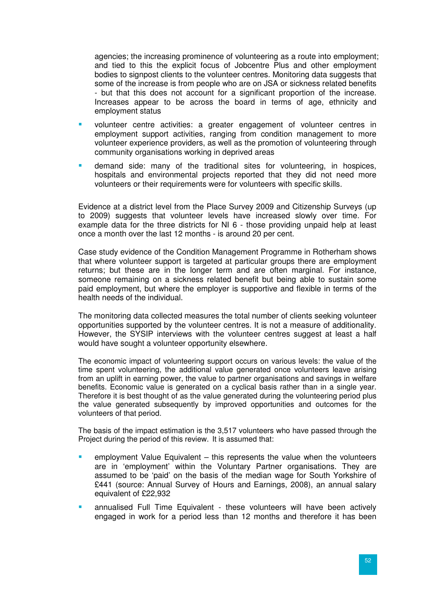agencies; the increasing prominence of volunteering as a route into employment; and tied to this the explicit focus of Jobcentre Plus and other employment bodies to signpost clients to the volunteer centres. Monitoring data suggests that some of the increase is from people who are on JSA or sickness related benefits - but that this does not account for a significant proportion of the increase. Increases appear to be across the board in terms of age, ethnicity and employment status

- volunteer centre activities: a greater engagement of volunteer centres in employment support activities, ranging from condition management to more volunteer experience providers, as well as the promotion of volunteering through community organisations working in deprived areas
- demand side: many of the traditional sites for volunteering, in hospices, hospitals and environmental projects reported that they did not need more volunteers or their requirements were for volunteers with specific skills.

Evidence at a district level from the Place Survey 2009 and Citizenship Surveys (up to 2009) suggests that volunteer levels have increased slowly over time. For example data for the three districts for NI 6 - those providing unpaid help at least once a month over the last 12 months - is around 20 per cent.

Case study evidence of the Condition Management Programme in Rotherham shows that where volunteer support is targeted at particular groups there are employment returns; but these are in the longer term and are often marginal. For instance, someone remaining on a sickness related benefit but being able to sustain some paid employment, but where the employer is supportive and flexible in terms of the health needs of the individual.

The monitoring data collected measures the total number of clients seeking volunteer opportunities supported by the volunteer centres. It is not a measure of additionality. However, the SYSIP interviews with the volunteer centres suggest at least a half would have sought a volunteer opportunity elsewhere.

The economic impact of volunteering support occurs on various levels: the value of the time spent volunteering, the additional value generated once volunteers leave arising from an uplift in earning power, the value to partner organisations and savings in welfare benefits. Economic value is generated on a cyclical basis rather than in a single year. Therefore it is best thought of as the value generated during the volunteering period plus the value generated subsequently by improved opportunities and outcomes for the volunteers of that period.

The basis of the impact estimation is the 3,517 volunteers who have passed through the Project during the period of this review. It is assumed that:

- employment Value Equivalent this represents the value when the volunteers are in 'employment' within the Voluntary Partner organisations. They are assumed to be 'paid' on the basis of the median wage for South Yorkshire of £441 (source: Annual Survey of Hours and Earnings, 2008), an annual salary equivalent of £22,932
- annualised Full Time Equivalent these volunteers will have been actively engaged in work for a period less than 12 months and therefore it has been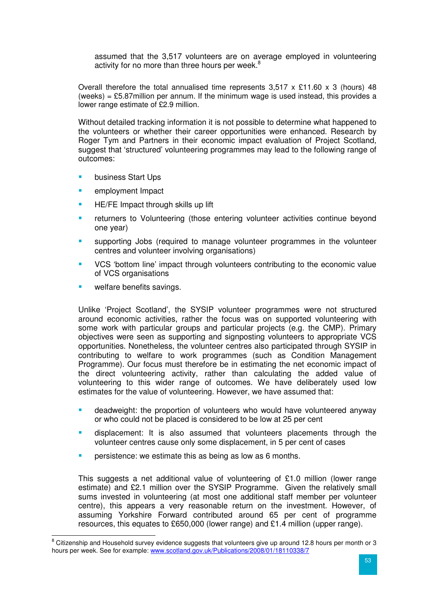assumed that the 3,517 volunteers are on average employed in volunteering activity for no more than three hours per week. $8$ 

Overall therefore the total annualised time represents  $3,517 \times £11.60 \times 3$  (hours) 48 (weeks) =  $£5.87$ million per annum. If the minimum wage is used instead, this provides a lower range estimate of £2.9 million.

Without detailed tracking information it is not possible to determine what happened to the volunteers or whether their career opportunities were enhanced. Research by Roger Tym and Partners in their economic impact evaluation of Project Scotland, suggest that 'structured' volunteering programmes may lead to the following range of outcomes:

- business Start Ups
- **EXECUTE:** employment Impact
- HE/FE Impact through skills up lift
- returners to Volunteering (those entering volunteer activities continue beyond one year)
- supporting Jobs (required to manage volunteer programmes in the volunteer centres and volunteer involving organisations)
- VCS 'bottom line' impact through volunteers contributing to the economic value of VCS organisations
- welfare benefits savings.

Unlike 'Project Scotland', the SYSIP volunteer programmes were not structured around economic activities, rather the focus was on supported volunteering with some work with particular groups and particular projects (e.g. the CMP). Primary objectives were seen as supporting and signposting volunteers to appropriate VCS opportunities. Nonetheless, the volunteer centres also participated through SYSIP in contributing to welfare to work programmes (such as Condition Management Programme). Our focus must therefore be in estimating the net economic impact of the direct volunteering activity, rather than calculating the added value of volunteering to this wider range of outcomes. We have deliberately used low estimates for the value of volunteering. However, we have assumed that:

- **E** deadweight: the proportion of volunteers who would have volunteered anyway or who could not be placed is considered to be low at 25 per cent
- displacement: It is also assumed that volunteers placements through the volunteer centres cause only some displacement, in 5 per cent of cases
- **PERT** persistence: we estimate this as being as low as 6 months.

This suggests a net additional value of volunteering of £1.0 million (lower range estimate) and £2.1 million over the SYSIP Programme. Given the relatively small sums invested in volunteering (at most one additional staff member per volunteer centre), this appears a very reasonable return on the investment. However, of assuming Yorkshire Forward contributed around 65 per cent of programme resources, this equates to £650,000 (lower range) and £1.4 million (upper range).

ender and Household survey evidence suggests that volunteers give up around 12.8 hours per month or 3<br><sup>8</sup> Citizenship and Household survey evidence suggests that volunteers give up around 12.8 hours per month or 3 hours per week. See for example: www.scotland.gov.uk/Publications/2008/01/18110338/7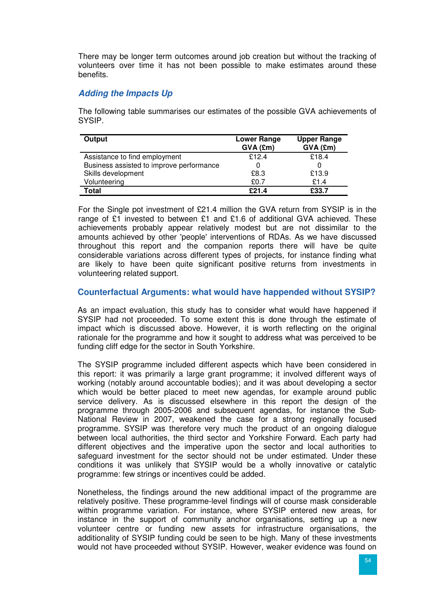There may be longer term outcomes around job creation but without the tracking of volunteers over time it has not been possible to make estimates around these benefits.

# **Adding the Impacts Up**

The following table summarises our estimates of the possible GVA achievements of SYSIP.

| Output                                   | <b>Lower Range</b><br>$GVA$ (£m) | <b>Upper Range</b><br>GVA (£m) |
|------------------------------------------|----------------------------------|--------------------------------|
| Assistance to find employment            | £12.4                            | £18.4                          |
| Business assisted to improve performance |                                  |                                |
| Skills development                       | £8.3                             | £13.9                          |
| Volunteering                             | £0.7                             | £1.4                           |
| Total                                    | f21.4                            | £33.7                          |

For the Single pot investment of £21.4 million the GVA return from SYSIP is in the range of £1 invested to between £1 and £1.6 of additional GVA achieved. These achievements probably appear relatively modest but are not dissimilar to the amounts achieved by other 'people' interventions of RDAs. As we have discussed throughout this report and the companion reports there will have be quite considerable variations across different types of projects, for instance finding what are likely to have been quite significant positive returns from investments in volunteering related support.

### **Counterfactual Arguments: what would have happended without SYSIP?**

As an impact evaluation, this study has to consider what would have happened if SYSIP had not proceeded. To some extent this is done through the estimate of impact which is discussed above. However, it is worth reflecting on the original rationale for the programme and how it sought to address what was perceived to be funding cliff edge for the sector in South Yorkshire.

The SYSIP programme included different aspects which have been considered in this report: it was primarily a large grant programme; it involved different ways of working (notably around accountable bodies); and it was about developing a sector which would be better placed to meet new agendas, for example around public service delivery. As is discussed elsewhere in this report the design of the programme through 2005-2006 and subsequent agendas, for instance the Sub-National Review in 2007, weakened the case for a strong regionally focused programme. SYSIP was therefore very much the product of an ongoing dialogue between local authorities, the third sector and Yorkshire Forward. Each party had different objectives and the imperative upon the sector and local authorities to safeguard investment for the sector should not be under estimated. Under these conditions it was unlikely that SYSIP would be a wholly innovative or catalytic programme: few strings or incentives could be added.

Nonetheless, the findings around the new additional impact of the programme are relatively positive. These programme-level findings will of course mask considerable within programme variation. For instance, where SYSIP entered new areas, for instance in the support of community anchor organisations, setting up a new volunteer centre or funding new assets for infrastructure organisations, the additionality of SYSIP funding could be seen to be high. Many of these investments would not have proceeded without SYSIP. However, weaker evidence was found on